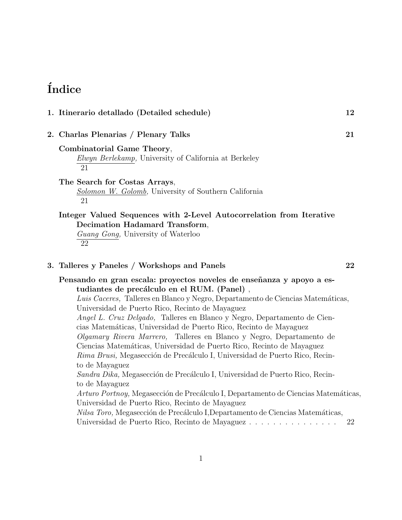# $<sub>Índice</sub>$ </sub>

| 1. Itinerario detallado (Detailed schedule)                                                                                                                                                                                                                                                                                                                                                                                                                                                                                                                                                                                                                                                                                                                                                                                                                                                                                                                                                                                                   | 12 |
|-----------------------------------------------------------------------------------------------------------------------------------------------------------------------------------------------------------------------------------------------------------------------------------------------------------------------------------------------------------------------------------------------------------------------------------------------------------------------------------------------------------------------------------------------------------------------------------------------------------------------------------------------------------------------------------------------------------------------------------------------------------------------------------------------------------------------------------------------------------------------------------------------------------------------------------------------------------------------------------------------------------------------------------------------|----|
| 2. Charlas Plenarias / Plenary Talks                                                                                                                                                                                                                                                                                                                                                                                                                                                                                                                                                                                                                                                                                                                                                                                                                                                                                                                                                                                                          | 21 |
| Combinatorial Game Theory,<br>Elwyn Berlekamp, University of California at Berkeley<br>21                                                                                                                                                                                                                                                                                                                                                                                                                                                                                                                                                                                                                                                                                                                                                                                                                                                                                                                                                     |    |
| The Search for Costas Arrays,<br>Solomon W. Golomb, University of Southern California<br>21                                                                                                                                                                                                                                                                                                                                                                                                                                                                                                                                                                                                                                                                                                                                                                                                                                                                                                                                                   |    |
| Integer Valued Sequences with 2-Level Autocorrelation from Iterative<br>Decimation Hadamard Transform,<br>Guang Gong, University of Waterloo<br>22                                                                                                                                                                                                                                                                                                                                                                                                                                                                                                                                                                                                                                                                                                                                                                                                                                                                                            |    |
| 3. Talleres y Paneles / Workshops and Panels                                                                                                                                                                                                                                                                                                                                                                                                                                                                                                                                                                                                                                                                                                                                                                                                                                                                                                                                                                                                  | 22 |
| Pensando en gran escala: proyectos noveles de enseñanza y apoyo a es-<br>tudiantes de precálculo en el RUM. (Panel),<br>Luis Caceres, Talleres en Blanco y Negro, Departamento de Ciencias Matemáticas,<br>Universidad de Puerto Rico, Recinto de Mayaguez<br>Angel L. Cruz Delgado, Talleres en Blanco y Negro, Departamento de Cien-<br>cias Matemáticas, Universidad de Puerto Rico, Recinto de Mayaguez<br>Olgamary Rivera Marrero, Talleres en Blanco y Negro, Departamento de<br>Ciencias Matemáticas, Universidad de Puerto Rico, Recinto de Mayaguez<br>Rima Brusi, Megasección de Precálculo I, Universidad de Puerto Rico, Recin-<br>to de Mayaguez<br>Sandra Dika, Megasección de Precálculo I, Universidad de Puerto Rico, Recin-<br>to de Mayaguez<br>Arturo Portnoy, Megasección de Precálculo I, Departamento de Ciencias Matemáticas,<br>Universidad de Puerto Rico, Recinto de Mayaguez<br>Nilsa Toro, Megasección de Precálculo I, Departamento de Ciencias Matemáticas,<br>Universidad de Puerto Rico, Recinto de Mayaguez | 22 |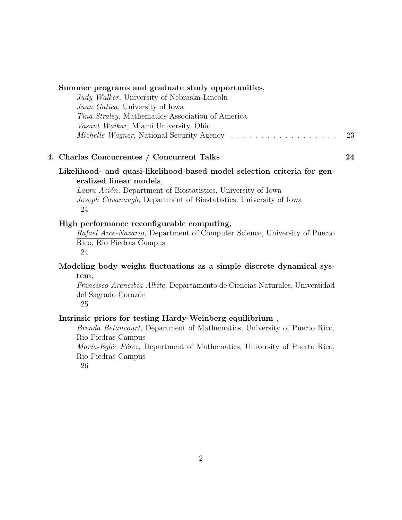| Summer programs and graduate study opportunities,<br>Judy Walker, University of Nebraska-Lincoln<br>Juan Gatica, University of Iowa<br>Tina Straley, Mathematics Association of America<br>Vasant Waikar, Miami University, Ohio                                                                                                                                                                            | 23 |
|-------------------------------------------------------------------------------------------------------------------------------------------------------------------------------------------------------------------------------------------------------------------------------------------------------------------------------------------------------------------------------------------------------------|----|
| 4. Charlas Concurrentes / Concurrent Talks                                                                                                                                                                                                                                                                                                                                                                  | 24 |
| Likelihood- and quasi-likelihood-based model selection criteria for gen-<br>eralized linear models,<br>Laura Ación, Department of Biostatistics, University of Iowa<br>Joseph Cavanaugh, Department of Biostatistics, University of Iowa<br>24<br>High performance reconfigurable computing,<br>Rafael Arce-Nazario, Department of Computer Science, University of Puerto<br>Rico, Rio Piedras Campus<br>24 |    |
| Modeling body weight fluctuations as a simple discrete dynamical sys-<br>tem,<br>Francisco Arencibia-Albite, Departamento de Ciencias Naturales, Universidad<br>del Sagrado Corazón<br>25                                                                                                                                                                                                                   |    |
| Intrinsic priors for testing Hardy-Weinberg equilibrium,<br><i>Brenda Betancourt</i> , Department of Mathematics, University of Puerto Rico,<br>Rio Piedras Campus<br>María-Eglée Pérez, Department of Mathematics, University of Puerto Rico,                                                                                                                                                              |    |

Rio Piedras Campus

26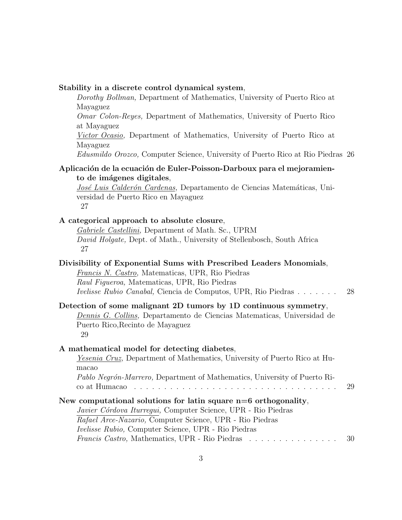| Stability in a discrete control dynamical system, |  |  |  |  |
|---------------------------------------------------|--|--|--|--|
|                                                   |  |  |  |  |

Dorothy Bollman, Department of Mathematics, University of Puerto Rico at Mayaguez

Omar Colon-Reyes, Department of Mathematics, University of Puerto Rico at Mayaguez

Victor Ocasio, Department of Mathematics, University of Puerto Rico at Mayaguez

Edusmildo Orozco, Computer Science, University of Puerto Rico at Rio Piedras 26

#### Aplicación de la ecuación de Euler-Poisson-Darboux para el mejoramiento de imágenes digitales,

José Luis Calderón Cardenas, Departamento de Ciencias Matemáticas, Universidad de Puerto Rico en Mayaguez 27

#### A categorical approach to absolute closure,

Gabriele Castellini, Department of Math. Sc., UPRM David Holgate, Dept. of Math., University of Stellenbosch, South Africa 27

|  |                                                                |  |  |  | Divisibility of Exponential Sums with Prescribed Leaders Monomials, |  |
|--|----------------------------------------------------------------|--|--|--|---------------------------------------------------------------------|--|
|  | $\cdots$ $\cdots$ $\cdots$ $\cdots$ $\cdots$ $\cdots$ $\cdots$ |  |  |  |                                                                     |  |

Francis N. Castro, Matematicas, UPR, Rio Piedras Raul Figueroa, Matematicas, UPR, Rio Piedras Ivelisse Rubio Canabal, Ciencia de Computos, UPR, Rio Piedras . . . . . . . 28

#### Detection of some malignant 2D tumors by 1D continuous symmetry,

Dennis G. Collins, Departamento de Ciencias Matematicas, Universidad de Puerto Rico,Recinto de Mayaguez 29

#### A mathematical model for detecting diabetes,

Yesenia Cruz, Department of Mathematics, University of Puerto Rico at Humacao Pablo Negrón-Marrero, Department of Mathematics, University of Puerto Rico at Humacao . . . . . . . . . . . . . . . . . . . . . . . . . . . . . . . . . . 29 New computational solutions for latin square n=6 orthogonality, Javier Córdova Iturrequi, Computer Science, UPR - Rio Piedras

| Rafael Arce-Nazario, Computer Science, UPR - Rio Piedras   |  |
|------------------------------------------------------------|--|
| <i>Ivelisse Rubio,</i> Computer Science, UPR - Rio Piedras |  |

|  |  |  | <i>Francis Castro</i> , Mathematics, UPR - Rio Piedras | . | 30 |
|--|--|--|--------------------------------------------------------|---|----|
|--|--|--|--------------------------------------------------------|---|----|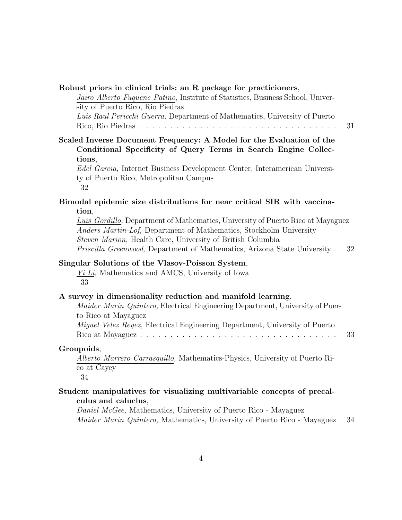| Robust priors in clinical trials: an R package for practicioners,<br>Jairo Alberto Fuquene Patino, Institute of Statistics, Business School, Univer-                                                                       |    |
|----------------------------------------------------------------------------------------------------------------------------------------------------------------------------------------------------------------------------|----|
| sity of Puerto Rico, Rio Piedras<br>Luis Raul Pericchi Guerra, Department of Mathematics, University of Puerto                                                                                                             | 31 |
| Scaled Inverse Document Frequency: A Model for the Evaluation of the                                                                                                                                                       |    |
| Conditional Specificity of Query Terms in Search Engine Collec-                                                                                                                                                            |    |
| tions,                                                                                                                                                                                                                     |    |
| Edel Garcia, Internet Business Development Center, Interamerican Universi-<br>ty of Puerto Rico, Metropolitan Campus<br>32                                                                                                 |    |
| Bimodal epidemic size distributions for near critical SIR with vaccina-                                                                                                                                                    |    |
| tion,                                                                                                                                                                                                                      |    |
| Luis Gordillo, Department of Mathematics, University of Puerto Rico at Mayaguez<br><i>Anders Martin-Lof, Department of Mathematics, Stockholm University</i><br>Steven Marion, Health Care, University of British Columbia |    |
| <i>Priscilla Greenwood</i> , Department of Mathematics, Arizona State University.                                                                                                                                          | 32 |
| Singular Solutions of the Vlasov-Poisson System,<br>$Yi$ Li, Mathematics and AMCS, University of Iowa<br>33                                                                                                                |    |
| A survey in dimensionality reduction and manifold learning,                                                                                                                                                                |    |
| <i>Maider Marin Quintero</i> , Electrical Engineering Department, University of Puer-<br>to Rico at Mayaguez                                                                                                               |    |
| Miguel Velez Reyez, Electrical Engineering Department, University of Puerto                                                                                                                                                |    |
|                                                                                                                                                                                                                            | 33 |
| Groupoids,                                                                                                                                                                                                                 |    |
| <i>Alberto Marrero Carrasquillo, Mathematics-Physics, University of Puerto Ri-</i>                                                                                                                                         |    |
| co at Cayey<br>34                                                                                                                                                                                                          |    |
| Student manipulatives for visualizing multivariable concepts of precal-                                                                                                                                                    |    |
| culus and caluclus,                                                                                                                                                                                                        |    |
| <i>Daniel McGee,</i> Mathematics, University of Puerto Rico - Mayaguez                                                                                                                                                     |    |
| Maider Marin Quintero, Mathematics, University of Puerto Rico - Mayaguez                                                                                                                                                   | 34 |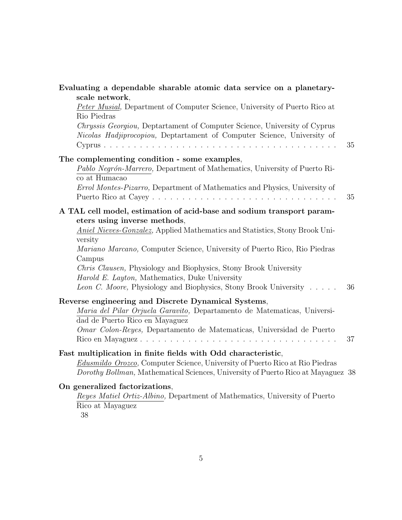| Evaluating a dependable sharable atomic data service on a planetary-<br>scale network,                                                                                                                                                                                                                                                                                                                                                                                                                  |    |
|---------------------------------------------------------------------------------------------------------------------------------------------------------------------------------------------------------------------------------------------------------------------------------------------------------------------------------------------------------------------------------------------------------------------------------------------------------------------------------------------------------|----|
| <i>Peter Musial</i> , Department of Computer Science, University of Puerto Rico at<br>Rio Piedras                                                                                                                                                                                                                                                                                                                                                                                                       |    |
| Chryssis Georgiou, Deptartament of Computer Science, University of Cyprus<br>Nicolas Hadjiprocopiou, Deptartament of Computer Science, University of                                                                                                                                                                                                                                                                                                                                                    | 35 |
| The complementing condition - some examples,<br>Pablo Negrón-Marrero, Department of Mathematics, University of Puerto Ri-<br>co at Humacao                                                                                                                                                                                                                                                                                                                                                              |    |
| Errol Montes-Pizarro, Department of Mathematics and Physics, University of                                                                                                                                                                                                                                                                                                                                                                                                                              | 35 |
| A TAL cell model, estimation of acid-base and sodium transport param-<br>eters using inverse methods,<br>Aniel Nieves-Gonzalez, Applied Mathematics and Statistics, Stony Brook Uni-<br>versity<br>Mariano Marcano, Computer Science, University of Puerto Rico, Rio Piedras<br>Campus<br><i>Chris Clausen</i> , Physiology and Biophysics, Stony Brook University<br><i>Harold E. Layton, Mathematics, Duke University</i><br><i>Leon C. Moore</i> , Physiology and Biophysics, Stony Brook University | 36 |
| Reverse engineering and Discrete Dynamical Systems,<br>Maria del Pilar Orjuela Garavito, Departamento de Matematicas, Universi-<br>dad de Puerto Rico en Mayaguez<br>Omar Colon-Reyes, Departamento de Matematicas, Universidad de Puerto                                                                                                                                                                                                                                                               | 37 |
| Fast multiplication in finite fields with Odd characteristic,<br><i>Edusmildo Orozco</i> , Computer Science, University of Puerto Rico at Rio Piedras<br>Dorothy Bollman, Mathematical Sciences, University of Puerto Rico at Mayaguez 38                                                                                                                                                                                                                                                               |    |
| On generalized factorizations,<br>Reyes Matiel Ortiz-Albino, Department of Mathematics, University of Puerto<br>Rico at Mayaguez                                                                                                                                                                                                                                                                                                                                                                        |    |

38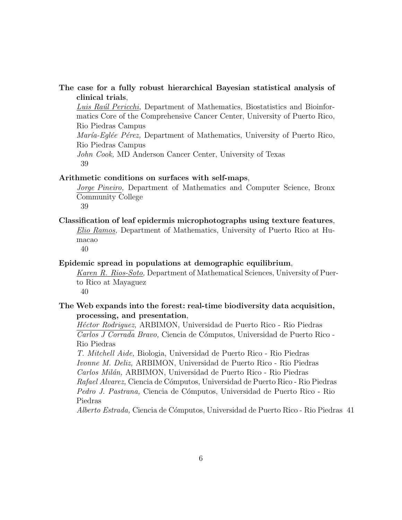#### The case for a fully robust hierarchical Bayesian statistical analysis of clinical trials,

Luis Raúl Pericchi, Department of Mathematics, Biostatistics and Bioinformatics Core of the Comprehensive Cancer Center, University of Puerto Rico, Rio Piedras Campus María-Eglée Pérez, Department of Mathematics, University of Puerto Rico, Rio Piedras Campus John Cook, MD Anderson Cancer Center, University of Texas 39

#### Arithmetic conditions on surfaces with self-maps,

Jorge Pineiro, Department of Mathematics and Computer Science, Bronx Community College

39

#### Classification of leaf epidermis microphotographs using texture features,

Elio Ramos, Department of Mathematics, University of Puerto Rico at Humacao

40

#### Epidemic spread in populations at demographic equilibrium,

Karen R. Rios-Soto, Department of Mathematical Sciences, University of Puerto Rico at Mayaguez

40

#### The Web expands into the forest: real-time biodiversity data acquisition, processing, and presentation,

Héctor Rodriguez, ARBIMON, Universidad de Puerto Rico - Rio Piedras Carlos J Corrada Bravo, Ciencia de Cómputos, Universidad de Puerto Rico -Rio Piedras

T. Mitchell Aide, Biologia, Universidad de Puerto Rico - Rio Piedras Ivonne M. Deliz, ARBIMON, Universidad de Puerto Rico - Rio Piedras Carlos Milán, ARBIMON, Universidad de Puerto Rico - Rio Piedras Rafael Alvarez, Ciencia de Cómputos, Universidad de Puerto Rico - Rio Piedras Pedro J. Pastrana, Ciencia de Cómputos, Universidad de Puerto Rico - Rio Piedras

Alberto Estrada, Ciencia de C´omputos, Universidad de Puerto Rico - Rio Piedras 41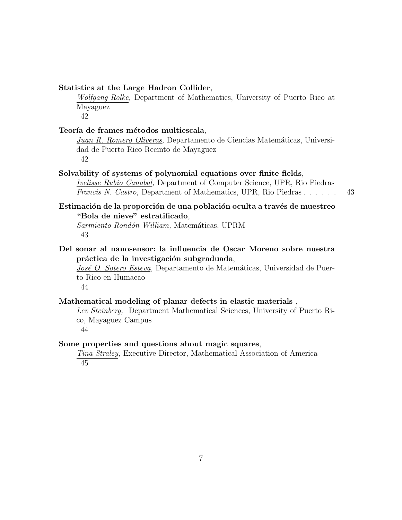#### Statistics at the Large Hadron Collider,

Wolfgang Rolke, Department of Mathematics, University of Puerto Rico at Mayaguez 42

Teoría de frames métodos multiescala,

Juan R. Romero Oliveras, Departamento de Ciencias Matemáticas, Universidad de Puerto Rico Recinto de Mayaguez 42

# Solvability of systems of polynomial equations over finite fields,

Ivelisse Rubio Canabal, Department of Computer Science, UPR, Rio Piedras Francis N. Castro, Department of Mathematics, UPR, Rio Piedras . . . . . . 43

#### Estimación de la proporción de una población oculta a través de muestreo "Bola de nieve" estratificado,

Sarmiento Rondón William, Matemáticas, UPRM 43

Del sonar al nanosensor: la influencia de Oscar Moreno sobre nuestra práctica de la investigación subgraduada,

José O. Sotero Esteva, Departamento de Matemáticas, Universidad de Puerto Rico en Humacao

44

#### Mathematical modeling of planar defects in elastic materials ,

Lev Steinberg, Department Mathematical Sciences, University of Puerto Rico, Mayaguez Campus

44

#### Some properties and questions about magic squares,

Tina Straley, Executive Director, Mathematical Association of America 45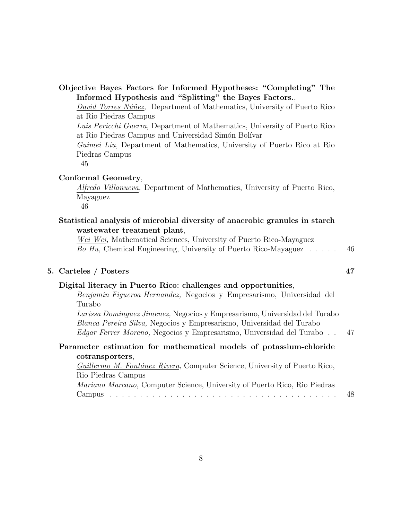| Objective Bayes Factors for Informed Hypotheses: "Completing" The                                                                                                                                                                   |    |
|-------------------------------------------------------------------------------------------------------------------------------------------------------------------------------------------------------------------------------------|----|
| Informed Hypothesis and "Splitting" the Bayes Factors.,                                                                                                                                                                             |    |
| David Torres Núñez, Department of Mathematics, University of Puerto Rico<br>at Rio Piedras Campus                                                                                                                                   |    |
| Luis Pericchi Guerra, Department of Mathematics, University of Puerto Rico<br>at Rio Piedras Campus and Universidad Simón Bolívar                                                                                                   |    |
| Guimei Liu, Department of Mathematics, University of Puerto Rico at Rio<br>Piedras Campus<br>45                                                                                                                                     |    |
| Conformal Geometry,<br><i>Alfredo Villanueva</i> , Department of Mathematics, University of Puerto Rico,<br>Mayaguez<br>46                                                                                                          |    |
| Statistical analysis of microbial diversity of anaerobic granules in starch<br>wastewater treatment plant,                                                                                                                          |    |
| Wei Wei, Mathematical Sciences, University of Puerto Rico-Mayaguez<br>Bo Hu, Chemical Engineering, University of Puerto Rico-Mayaguez $\dots$ .                                                                                     | 46 |
| 5. Carteles / Posters                                                                                                                                                                                                               | 47 |
| Digital literacy in Puerto Rico: challenges and opportunities,<br>Benjamin Figueroa Hernandez, Negocios y Empresarismo, Universidad del<br>Turabo                                                                                   |    |
| Larissa Dominguez Jimenez, Negocios y Empresarismo, Universidad del Turabo<br>Blanca Pereira Silva, Negocios y Empresarismo, Universidad del Turabo<br><i>Edgar Ferrer Moreno</i> , Negocios y Empresarismo, Universidad del Turabo | 47 |
| Parameter estimation for mathematical models of potassium-chloride                                                                                                                                                                  |    |
| cotransporters,                                                                                                                                                                                                                     |    |

Guillermo M. Fontánez Rivera, Computer Science, University of Puerto Rico, Rio Piedras Campus Mariano Marcano, Computer Science, University of Puerto Rico, Rio Piedras Campus . . . . . . . . . . . . . . . . . . . . . . . . . . . . . . . . . . . . . . 48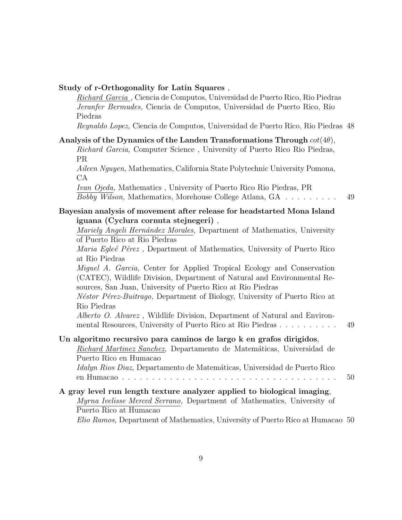#### Study of r-Orthogonality for Latin Squares ,

Richard Garcia , Ciencia de Computos, Universidad de Puerto Rico, Rio Piedras Jeranfer Bermudes, Ciencia de Computos, Universidad de Puerto Rico, Rio Piedras

Reynaldo Lopez, Ciencia de Computos, Universidad de Puerto Rico, Rio Piedras 48

| Analysis of the Dynamics of the Landen Transformations Through $cot(4\theta)$ ,<br>Richard Garcia, Computer Science, University of Puerto Rico Rio Piedras,                                                             |    |
|-------------------------------------------------------------------------------------------------------------------------------------------------------------------------------------------------------------------------|----|
| <b>PR</b>                                                                                                                                                                                                               |    |
| Aileen Nguyen, Mathematics, California State Polytechnic University Pomona,<br>CA                                                                                                                                       |    |
| Ivan Ojeda, Mathematics, University of Puerto Rico Rio Piedras, PR<br><i>Bobby Wilson</i> , Mathematics, Morehouse College Atlana, GA                                                                                   | 49 |
| Bayesian analysis of movement after release for headstarted Mona Island                                                                                                                                                 |    |
| iguana (Cyclura cornuta stejnegeri),                                                                                                                                                                                    |    |
| Mariely Angeli Hernández Morales, Department of Mathematics, University                                                                                                                                                 |    |
| of Puerto Rico at Rio Piedras                                                                                                                                                                                           |    |
| Maria Egleé Pérez, Department of Mathematics, University of Puerto Rico                                                                                                                                                 |    |
| at Rio Piedras                                                                                                                                                                                                          |    |
| <i>Miguel A. Garcia,</i> Center for Applied Tropical Ecology and Conservation<br>(CATEC), Wildlife Division, Department of Natural and Environmental Re-<br>sources, San Juan, University of Puerto Rico at Rio Piedras |    |
| Néstor Pérez-Buitrago, Department of Biology, University of Puerto Rico at<br>Rio Piedras                                                                                                                               |    |
| Alberto O. Alvarez, Wildlife Division, Department of Natural and Environ-<br>mental Resources, University of Puerto Rico at Rio Piedras                                                                                 | 49 |
| Un algoritmo recursivo para caminos de largo k en grafos dirigidos,<br>Richard Martinez Sanchez, Departamento de Matemáticas, Universidad de<br>Puerto Rico en Humacao                                                  |    |
| <i>Idalyn Rios Diaz</i> , Departamento de Matemáticas, Universidad de Puerto Rico                                                                                                                                       | 50 |
| A gray level run length texture analyzer applied to biological imaging,<br>Myrna Ivelisse Merced Serrano, Department of Mathematics, University of<br>Puerto Rico at Humacao                                            |    |
| Elio Ramos, Department of Mathematics, University of Puerto Rico at Humacao 50                                                                                                                                          |    |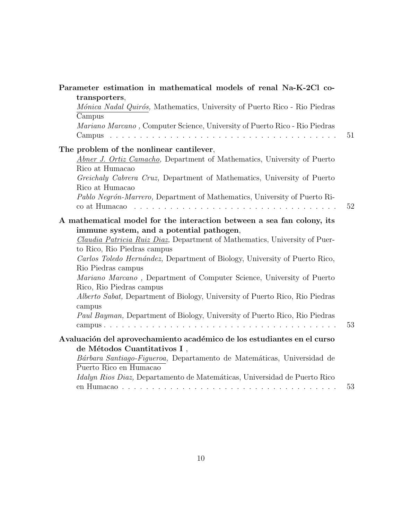| Parameter estimation in mathematical models of renal Na-K-2Cl co-                                                                                                                                                                                                                                                                                                                                                                                                                                                                                                                                                                |    |
|----------------------------------------------------------------------------------------------------------------------------------------------------------------------------------------------------------------------------------------------------------------------------------------------------------------------------------------------------------------------------------------------------------------------------------------------------------------------------------------------------------------------------------------------------------------------------------------------------------------------------------|----|
| transporters,                                                                                                                                                                                                                                                                                                                                                                                                                                                                                                                                                                                                                    |    |
| Mónica Nadal Quirós, Mathematics, University of Puerto Rico - Rio Piedras                                                                                                                                                                                                                                                                                                                                                                                                                                                                                                                                                        |    |
| Campus                                                                                                                                                                                                                                                                                                                                                                                                                                                                                                                                                                                                                           |    |
| Mariano Marcano, Computer Science, University of Puerto Rico - Rio Piedras                                                                                                                                                                                                                                                                                                                                                                                                                                                                                                                                                       |    |
| Campus                                                                                                                                                                                                                                                                                                                                                                                                                                                                                                                                                                                                                           | 51 |
| The problem of the nonlinear cantilever,                                                                                                                                                                                                                                                                                                                                                                                                                                                                                                                                                                                         |    |
| Abner J. Ortiz Camacho, Department of Mathematics, University of Puerto                                                                                                                                                                                                                                                                                                                                                                                                                                                                                                                                                          |    |
| Rico at Humacao                                                                                                                                                                                                                                                                                                                                                                                                                                                                                                                                                                                                                  |    |
| Greichaly Cabrera Cruz, Department of Mathematics, University of Puerto                                                                                                                                                                                                                                                                                                                                                                                                                                                                                                                                                          |    |
| Rico at Humacao                                                                                                                                                                                                                                                                                                                                                                                                                                                                                                                                                                                                                  |    |
| Pablo Negrón-Marrero, Department of Mathematics, University of Puerto Ri-                                                                                                                                                                                                                                                                                                                                                                                                                                                                                                                                                        |    |
|                                                                                                                                                                                                                                                                                                                                                                                                                                                                                                                                                                                                                                  | 52 |
| A mathematical model for the interaction between a sea fan colony, its<br>immune system, and a potential pathogen,<br><i>Claudia Patricia Ruiz Diaz</i> , Department of Mathematics, University of Puer-<br>to Rico, Rio Piedras campus<br>Carlos Toledo Hernández, Department of Biology, University of Puerto Rico,<br>Rio Piedras campus<br>Mariano Marcano, Department of Computer Science, University of Puerto<br>Rico, Rio Piedras campus<br>Alberto Sabat, Department of Biology, University of Puerto Rico, Rio Piedras<br>campus<br><i>Paul Bayman</i> , Department of Biology, University of Puerto Rico, Rio Piedras | 53 |
| Avaluación del aprovechamiento académico de los estudiantes en el curso                                                                                                                                                                                                                                                                                                                                                                                                                                                                                                                                                          |    |
| de Métodos Cuantitativos I,                                                                                                                                                                                                                                                                                                                                                                                                                                                                                                                                                                                                      |    |
| Bárbara Santiago-Figueroa, Departamento de Matemáticas, Universidad de                                                                                                                                                                                                                                                                                                                                                                                                                                                                                                                                                           |    |
| Puerto Rico en Humacao                                                                                                                                                                                                                                                                                                                                                                                                                                                                                                                                                                                                           |    |
| Idalyn Rios Diaz, Departamento de Matemáticas, Universidad de Puerto Rico                                                                                                                                                                                                                                                                                                                                                                                                                                                                                                                                                        |    |
|                                                                                                                                                                                                                                                                                                                                                                                                                                                                                                                                                                                                                                  | 53 |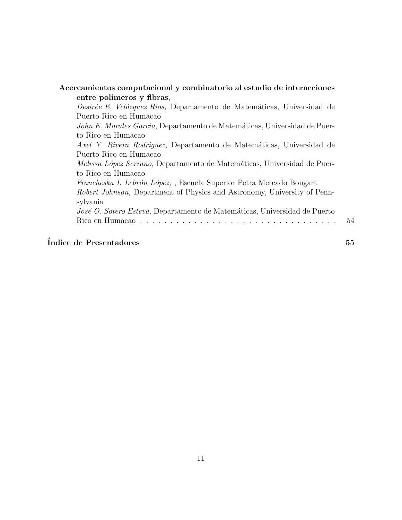| entre polimeros y fibras,                                                                    |  |
|----------------------------------------------------------------------------------------------|--|
| <i>Desirée E. Velázquez Rios</i> , Departamento de Matemáticas, Universidad de               |  |
| Puerto Rico en Humacao                                                                       |  |
| <i>John E. Morales Garcia</i> , Departamento de Matemáticas, Universidad de Puer-            |  |
| to Rico en Humacao                                                                           |  |
| Axel Y. Rivera Rodriguez, Departamento de Matemáticas, Universidad de                        |  |
| Puerto Rico en Humacao                                                                       |  |
| <i>Melissa López Serrano</i> , Departamento de Matemáticas, Universidad de Puer-             |  |
| to Rico en Humacao                                                                           |  |
| <i>Francheska I. Lebrón López</i> , , Escuela Superior Petra Mercado Bougart                 |  |
| <i>Robert Johnson</i> , Department of Physics and Astronomy, University of Penn-<br>sylvania |  |
| José O. Sotero Esteva, Departamento de Matemáticas, Universidad de Puerto                    |  |
|                                                                                              |  |

# $\int$ Indice de Presentadores  $55$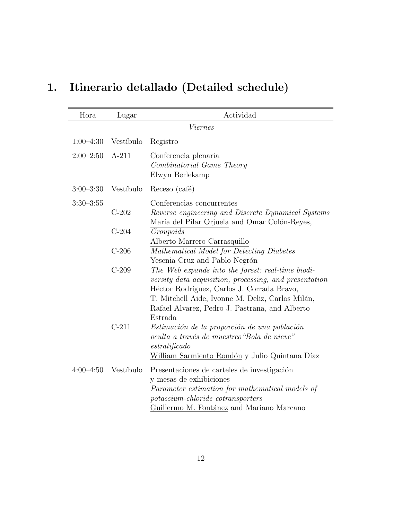# 1. Itinerario detallado (Detailed schedule)

| Hora          | Lugar     | Actividad                                                                                                                                                                                                                                                                  |
|---------------|-----------|----------------------------------------------------------------------------------------------------------------------------------------------------------------------------------------------------------------------------------------------------------------------------|
|               |           | <i>Viernes</i>                                                                                                                                                                                                                                                             |
| $1:00-4:30$   | Vestíbulo | Registro                                                                                                                                                                                                                                                                   |
| $2:00-2:50$   | $A-211$   | Conferencia plenaria<br>Combinatorial Game Theory<br>Elwyn Berlekamp                                                                                                                                                                                                       |
| $3:00 - 3:30$ | Vestíbulo | Receso (café)                                                                                                                                                                                                                                                              |
| $3:30-3:55$   |           | Conferencias concurrentes                                                                                                                                                                                                                                                  |
|               | $C-202$   | Reverse engineering and Discrete Dynamical Systems<br>María del Pilar Orjuela and Omar Colón-Reyes,                                                                                                                                                                        |
|               | $C-204$   | Groupoids<br>Alberto Marrero Carrasquillo                                                                                                                                                                                                                                  |
|               | $C-206$   | Mathematical Model for Detecting Diabetes<br>Yesenia Cruz and Pablo Negrón                                                                                                                                                                                                 |
|               | $C-209$   | The Web expands into the forest: real-time biodi-<br>versity data acquisition, processing, and presentation<br>Héctor Rodríguez, Carlos J. Corrada Bravo,<br>T. Mitchell Aide, Ivonne M. Deliz, Carlos Milán,<br>Rafael Alvarez, Pedro J. Pastrana, and Alberto<br>Estrada |
|               | $C-211$   | Estimación de la proporción de una población<br>oculta a través de muestreo "Bola de nieve"<br>est ratificado<br>William Sarmiento Rondón y Julio Quintana Díaz                                                                                                            |
| $4:00-4:50$   | Vestíbulo | Presentaciones de carteles de investigación<br>y mesas de exhibiciones<br>Parameter estimation for mathematical models of<br>potassium-chloride cotransporters<br>Guillermo M. Fontánez and Mariano Marcano                                                                |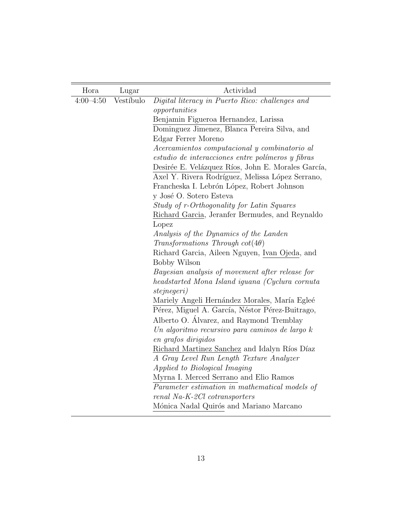| Hora          | Lugar     | Actividad                                                              |
|---------------|-----------|------------------------------------------------------------------------|
| $4:00 - 4:50$ | Vestíbulo | Digital literacy in Puerto Rico: challenges and                        |
|               |           | opportunities                                                          |
|               |           | Benjamin Figueroa Hernandez, Larissa                                   |
|               |           | Dominguez Jimenez, Blanca Pereira Silva, and                           |
|               |           | Edgar Ferrer Moreno                                                    |
|               |           | Acercamientos computacional y combinatorio al                          |
|               |           | estudio de interacciones entre polímeros y fibras                      |
|               |           | Desirée E. Velázquez Ríos, John E. Morales García,                     |
|               |           | Axel Y. Rivera Rodríguez, Melissa López Serrano,                       |
|               |           | Francheska I. Lebrón López, Robert Johnson                             |
|               |           | y José O. Sotero Esteva                                                |
|               |           | Study of r-Orthogonality for Latin Squares                             |
|               |           | Richard Garcia, Jeranfer Bermudes, and Reynaldo                        |
|               |           | Lopez                                                                  |
|               |           | Analysis of the Dynamics of the Landen                                 |
|               |           | Transformations Through $cot(4\theta)$                                 |
|               |           | Richard Garcia, Aileen Nguyen, Ivan Ojeda, and                         |
|               |           | <b>Bobby Wilson</b>                                                    |
|               |           | Bayesian analysis of movement after release for                        |
|               |           | headstarted Mona Island iguana (Cyclura cornuta<br><i>stejnegeri</i> ) |
|               |           | Mariely Angeli Hernández Morales, María Egleé                          |
|               |           | Pérez, Miguel A. García, Néstor Pérez-Buitrago,                        |
|               |           | Alberto O. Álvarez, and Raymond Tremblay                               |
|               |           | Un algoritmo recursivo para caminos de largo k                         |
|               |           | en grafos dirigidos                                                    |
|               |           | Richard Martinez Sanchez and Idalyn Ríos Díaz                          |
|               |           | A Gray Level Run Length Texture Analyzer                               |
|               |           | Applied to Biological Imaging                                          |
|               |           | Myrna I. Merced Serrano and Elio Ramos                                 |
|               |           | Parameter estimation in mathematical models of                         |
|               |           | renal Na-K-2Cl cotransporters                                          |
|               |           | Mónica Nadal Quirós and Mariano Marcano                                |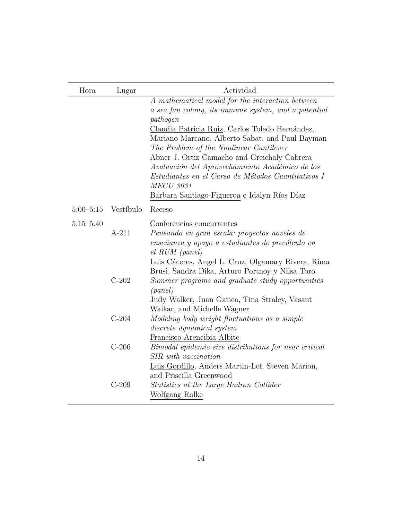| Hora          | Lugar     | Actividad                                                                                                                                                                                                                                                                                                                                                                                                                                                                                          |
|---------------|-----------|----------------------------------------------------------------------------------------------------------------------------------------------------------------------------------------------------------------------------------------------------------------------------------------------------------------------------------------------------------------------------------------------------------------------------------------------------------------------------------------------------|
|               |           | A mathematical model for the interaction between<br>a sea fan colony, its immune system, and a potential<br>pathogen<br>Claudia Patricia Ruiz, Carlos Toledo Hernández,<br>Mariano Marcano, Alberto Sabat, and Paul Bayman<br>The Problem of the Nonlinear Cantilever<br>Abner J. Ortiz Camacho and Greichaly Cabrera<br>Avaluación del Aprovechamiento Académico de los<br>Estudiantes en el Curso de Métodos Cuantitativos I<br><b>MECU 3031</b><br>Bárbara Santiago-Figueroa e Idalyn Ríos Díaz |
| $5:00 - 5:15$ | Vestíbulo | Receso                                                                                                                                                                                                                                                                                                                                                                                                                                                                                             |
| $5:15 - 5:40$ | $A-211$   | Conferencias concurrentes<br>Pensando en gran escala: proyectos noveles de<br>enseñanza y apoyo a estudiantes de precálculo en<br>$el$ RUM (panel)                                                                                                                                                                                                                                                                                                                                                 |
|               | $C-202$   | Luis Cáceres, Angel L. Cruz, Olgamary Rivera, Rima<br>Brusi, Sandra Dika, Arturo Portnoy y Nilsa Toro<br>Summer programs and graduate study opportunities<br>(panel)<br>Judy Walker, Juan Gatica, Tina Straley, Vasant                                                                                                                                                                                                                                                                             |
|               | $C-204$   | Waikar, and Michelle Wagner<br>Modeling body weight fluctuations as a simple<br>discrete dynamical system<br>Francisco Arencibia-Albite                                                                                                                                                                                                                                                                                                                                                            |
|               | $C-206$   | Bimodal epidemic size distributions for near critical<br>SIR with vaccination                                                                                                                                                                                                                                                                                                                                                                                                                      |
|               | $C-209$   | Luis Gordillo, Anders Martin-Lof, Steven Marion,<br>and Priscilla Greenwood<br>Statistics at the Large Hadron Collider<br>Wolfgang Rolke                                                                                                                                                                                                                                                                                                                                                           |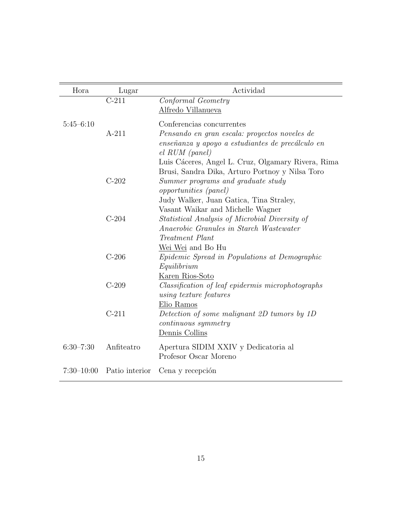| Hora           | Lugar          | Actividad                                                                                                                                                                            |
|----------------|----------------|--------------------------------------------------------------------------------------------------------------------------------------------------------------------------------------|
|                | $C-211$        | Conformal Geometry<br>Alfredo Villanueva                                                                                                                                             |
| $5:45-6:10$    | $A-211$        | Conferencias concurrentes<br>Pensando en gran escala: proyectos noveles de<br>enseñanza y apoyo a estudiantes de precálculo en<br>$el$ RUM (panel)                                   |
|                | $C-202$        | Luis Cáceres, Angel L. Cruz, Olgamary Rivera, Rima<br>Brusi, Sandra Dika, Arturo Portnoy y Nilsa Toro<br>Summer programs and graduate study<br><i>opportunities</i> ( <i>panel</i> ) |
|                | $C-204$        | Judy Walker, Juan Gatica, Tina Straley,<br>Vasant Waikar and Michelle Wagner<br>Statistical Analysis of Microbial Diversity of<br>Anaerobic Granules in Starch Wastewater            |
|                | $C-206$        | Treatment Plant<br>Wei Wei and Bo Hu<br><i>Epidemic Spread in Populations at Demographic</i><br>Equilibrium                                                                          |
|                | $C-209$        | Karen Rios-Soto<br>Classification of leaf epidermis microphotographs<br>using texture features                                                                                       |
|                | $C-211$        | Elio Ramos<br>Detection of some malignant 2D tumors by 1D<br><i>continuous symmetry</i>                                                                                              |
| $6:30 - 7:30$  | Anfiteatro     | Dennis Collins<br>Apertura SIDIM XXIV y Dedicatoria al<br>Profesor Oscar Moreno                                                                                                      |
| $7:30 - 10:00$ | Patio interior | Cena y recepción                                                                                                                                                                     |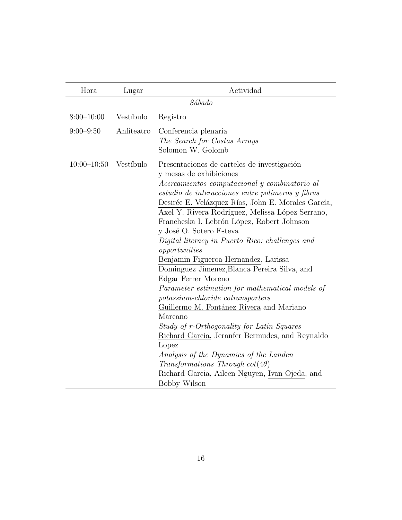| Lugar      | Actividad                                                                                                                                                                                                                                                                                                                                                                                                                                                                                                                                                                                                                                                                                                                                                                                                                                                                                                                                                         |
|------------|-------------------------------------------------------------------------------------------------------------------------------------------------------------------------------------------------------------------------------------------------------------------------------------------------------------------------------------------------------------------------------------------------------------------------------------------------------------------------------------------------------------------------------------------------------------------------------------------------------------------------------------------------------------------------------------------------------------------------------------------------------------------------------------------------------------------------------------------------------------------------------------------------------------------------------------------------------------------|
|            | Sábado                                                                                                                                                                                                                                                                                                                                                                                                                                                                                                                                                                                                                                                                                                                                                                                                                                                                                                                                                            |
| Vestíbulo  | Registro                                                                                                                                                                                                                                                                                                                                                                                                                                                                                                                                                                                                                                                                                                                                                                                                                                                                                                                                                          |
| Anfiteatro | Conferencia plenaria<br>The Search for Costas Arrays<br>Solomon W. Golomb                                                                                                                                                                                                                                                                                                                                                                                                                                                                                                                                                                                                                                                                                                                                                                                                                                                                                         |
| Vestíbulo  | Presentaciones de carteles de investigación<br>y mesas de exhibiciones<br>Acercamientos computacional y combinatorio al<br>estudio de interacciones entre polímeros y fibras<br>Desirée E. Velázquez Ríos, John E. Morales García,<br>Axel Y. Rivera Rodríguez, Melissa López Serrano,<br>Francheska I. Lebrón López, Robert Johnson<br>y José O. Sotero Esteva<br>Digital literacy in Puerto Rico: challenges and<br>opportunities<br>Benjamin Figueroa Hernandez, Larissa<br>Dominguez Jimenez, Blanca Pereira Silva, and<br>Edgar Ferrer Moreno<br>Parameter estimation for mathematical models of<br>potassium-chloride cotransporters<br>Guillermo M. Fontánez Rivera and Mariano<br>Marcano<br>Study of r-Orthogonality for Latin Squares<br>Richard Garcia, Jeranfer Bermudes, and Reynaldo<br>Lopez<br>Analysis of the Dynamics of the Landen<br>Transformations Through $cot(4\theta)$<br>Richard Garcia, Aileen Nguyen, Ivan Ojeda, and<br>Bobby Wilson |
|            |                                                                                                                                                                                                                                                                                                                                                                                                                                                                                                                                                                                                                                                                                                                                                                                                                                                                                                                                                                   |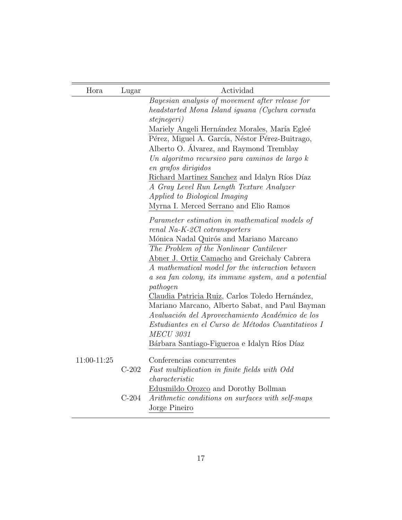| Hora        | Lugar   | Actividad                                            |
|-------------|---------|------------------------------------------------------|
|             |         | Bayesian analysis of movement after release for      |
|             |         | headstarted Mona Island iguana (Cyclura cornuta      |
|             |         | <i>stejnegeri</i> )                                  |
|             |         | Mariely Angeli Hernández Morales, María Egleé        |
|             |         | Pérez, Miguel A. García, Néstor Pérez-Buitrago,      |
|             |         | Alberto O. Álvarez, and Raymond Tremblay             |
|             |         | Un algoritmo recursivo para caminos de largo k       |
|             |         | en grafos dirigidos                                  |
|             |         | Richard Martinez Sanchez and Idalyn Ríos Díaz        |
|             |         | A Gray Level Run Length Texture Analyzer             |
|             |         | Applied to Biological Imaging                        |
|             |         | Myrna I. Merced Serrano and Elio Ramos               |
|             |         | Parameter estimation in mathematical models of       |
|             |         | renal Na-K-2Cl cotransporters                        |
|             |         | Mónica Nadal Quirós and Mariano Marcano              |
|             |         | The Problem of the Nonlinear Cantilever              |
|             |         | Abner J. Ortiz Camacho and Greichaly Cabrera         |
|             |         | A mathematical model for the interaction between     |
|             |         | a sea fan colony, its immune system, and a potential |
|             |         | pathogen                                             |
|             |         | Claudia Patricia Ruiz, Carlos Toledo Hernández,      |
|             |         | Mariano Marcano, Alberto Sabat, and Paul Bayman      |
|             |         | Avaluación del Aprovechamiento Académico de los      |
|             |         | Estudiantes en el Curso de Métodos Cuantitativos I   |
|             |         | <b>MECU 3031</b>                                     |
|             |         | Bárbara Santiago-Figueroa e Idalyn Ríos Díaz         |
| 11:00-11:25 |         | Conferencias concurrentes                            |
|             | $C-202$ | Fast multiplication in finite fields with Odd        |
|             |         | characteristic                                       |
|             |         | Edusmildo Orozco and Dorothy Bollman                 |
|             | $C-204$ | Arithmetic conditions on surfaces with self-maps     |
|             |         | Jorge Pineiro                                        |

 $=$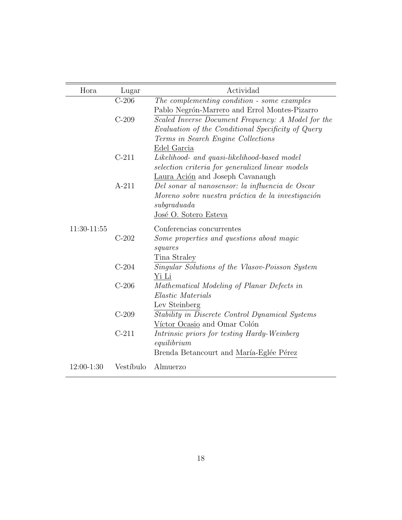| Hora        | Lugar     | Actividad                                          |
|-------------|-----------|----------------------------------------------------|
|             | $C-206$   | The complementing condition - some examples        |
|             |           | Pablo Negrón-Marrero and Errol Montes-Pizarro      |
|             | $C-209$   | Scaled Inverse Document Frequency: A Model for the |
|             |           | Evaluation of the Conditional Specificity of Query |
|             |           | Terms in Search Engine Collections                 |
|             |           | Edel Garcia                                        |
|             | $C-211$   | Likelihood- and quasi-likelihood-based model       |
|             |           | selection criteria for generalized linear models   |
|             |           | Laura Ación and Joseph Cavanaugh                   |
|             | $A-211$   | Del sonar al nanosensor: la influencia de Oscar    |
|             |           | Moreno sobre nuestra práctica de la investigación  |
|             |           | subqraduada                                        |
|             |           | José O. Sotero Esteva                              |
| 11:30-11:55 |           | Conferencias concurrentes                          |
|             | $C-202$   | Some properties and questions about magic          |
|             |           | squares                                            |
|             |           | Tina Straley                                       |
|             | $C-204$   | Singular Solutions of the Vlasov-Poisson System    |
|             |           | Yi Li                                              |
|             | $C-206$   | Mathematical Modeling of Planar Defects in         |
|             |           | Elastic Materials                                  |
|             |           | Lev Steinberg                                      |
|             | $C-209$   | Stability in Discrete Control Dynamical Systems    |
|             |           | Víctor Ocasio and Omar Colón                       |
|             | $C-211$   | Intrinsic priors for testing Hardy-Weinberg        |
|             |           | equilibrium                                        |
|             |           | Brenda Betancourt and María-Eglée Pérez            |
| 12:00-1:30  | Vestíbulo | Almuerzo                                           |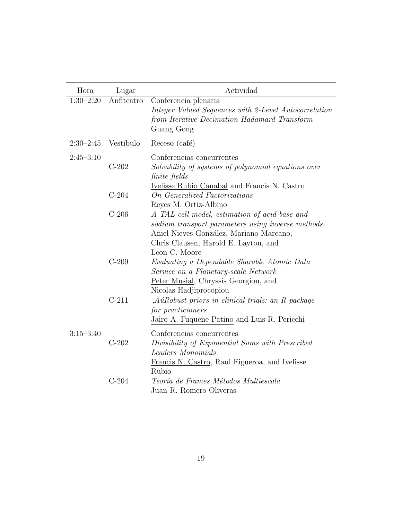| Hora          | Lugar      | Actividad                                                                                                                                                                                              |
|---------------|------------|--------------------------------------------------------------------------------------------------------------------------------------------------------------------------------------------------------|
| $1:30-2:20$   | Anfiteatro | Conferencia plenaria<br>Integer Valued Sequences with 2-Level Autocorrelation<br>from Iterative Decimation Hadamard Transform<br>Guang Gong                                                            |
| $2:30-2:45$   | Vestíbulo  | Receso (café)                                                                                                                                                                                          |
| $2:45 - 3:10$ | $C-202$    | Conferencias concurrentes<br>Solvability of systems of polynomial equations over<br>finite fields<br>Ivelisse Rubio Canabal and Francis N. Castro                                                      |
|               | $C-204$    | <b>On Generalized Factorizations</b><br>Reyes M. Ortiz-Albino                                                                                                                                          |
|               | $C-206$    | A TAL cell model, estimation of acid-base and<br>sodium transport parameters using inverse methods<br>Aniel Nieves-González, Mariano Marcano,<br>Chris Clausen, Harold E. Layton, and<br>Leon C. Moore |
|               | $C-209$    | Evaluating a Dependable Sharable Atomic Data<br>Service on a Planetary-scale Network<br>Peter Musial, Chryssis Georgiou, and<br>Nicolas Hadjiprocopiou                                                 |
|               | $C-211$    | , $\AA$ úRobust priors in clinical trials: an R package<br>for practicioners<br>Jairo A. Fuquene Patino and Luis R. Pericchi                                                                           |
| $3:15 - 3:40$ | $C-202$    | Conferencias concurrentes<br>Divisibility of Exponential Sums with Prescribed<br>Leaders Monomials<br>Francis N. Castro, Raul Figueroa, and Ivelisse                                                   |
|               | $C-204$    | Rubio<br>Teoría de Frames Métodos Multiescala<br>Juan R. Romero Oliveras                                                                                                                               |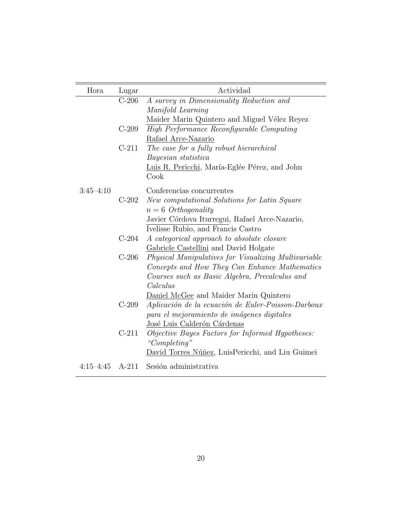| Hora          | Lugar   | Actividad                                            |
|---------------|---------|------------------------------------------------------|
|               | $C-206$ | A survey in Dimensionality Reduction and             |
|               |         | Manifold Learning                                    |
|               |         | Maider Marin Quintero and Miguel Vélez Reyez         |
|               | $C-209$ | High Performance Reconfigurable Computing            |
|               |         | Rafael Arce-Nazario                                  |
|               | $C-211$ | The case for a fully robust hierarchical             |
|               |         | Bayesian statistica                                  |
|               |         | Luis R. Pericchi, María-Eglée Pérez, and John        |
|               |         | Cook                                                 |
| $3:45 - 4:10$ |         | Conferencias concurrentes                            |
|               | $C-202$ | New computational Solutions for Latin Square         |
|               |         | $n = 6$ Orthogonality                                |
|               |         | Javier Córdova Iturregui, Rafael Arce-Nazario,       |
|               |         | Ivelisse Rubio, and Francis Castro                   |
|               | $C-204$ | A categorical approach to absolute closure           |
|               |         | Gabriele Castellini and David Holgate                |
|               | $C-206$ | Physical Manipulatives for Visualizing Multivariable |
|               |         | Concepts and How They Can Enhance Mathematics        |
|               |         | Courses such as Basic Algebra, Precalculus and       |
|               |         | Calculus                                             |
|               |         | Daniel McGee and Maider Marin Quintero               |
|               | $C-209$ | Aplicación de la ecuación de Euler-Poisson-Darboux   |
|               |         | para el mejoramiento de imágenes digitales           |
|               |         | José Luis Calderón Cárdenas                          |
|               | $C-211$ | Objective Bayes Factors for Informed Hypotheses:     |
|               |         | "Completing"                                         |
|               |         | David Torres Núñez, LuisPericchi, and Liu Guimei     |
| $4:15 - 4:45$ | $A-211$ | Sesión administrativa                                |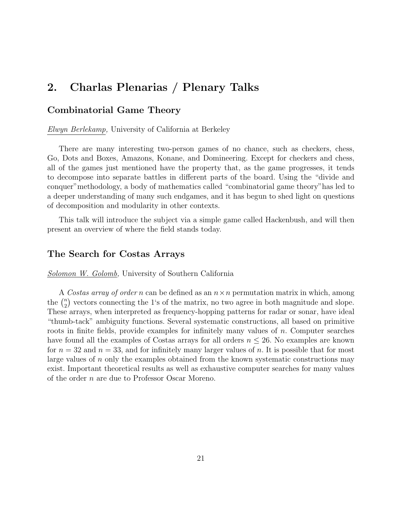# 2. Charlas Plenarias / Plenary Talks

#### Combinatorial Game Theory

Elwyn Berlekamp, University of California at Berkeley

There are many interesting two-person games of no chance, such as checkers, chess, Go, Dots and Boxes, Amazons, Konane, and Domineering. Except for checkers and chess, all of the games just mentioned have the property that, as the game progresses, it tends to decompose into separate battles in different parts of the board. Using the "divide and conquer"methodology, a body of mathematics called "combinatorial game theory"has led to a deeper understanding of many such endgames, and it has begun to shed light on questions of decomposition and modularity in other contexts.

This talk will introduce the subject via a simple game called Hackenbush, and will then present an overview of where the field stands today.

#### The Search for Costas Arrays

**Solomon W. Golomb, University of Southern California** 

A Costas array of order n can be defined as an  $n \times n$  permutation matrix in which, among the  $\binom{n}{2}$  $n_2$ ) vectors connecting the 1's of the matrix, no two agree in both magnitude and slope. These arrays, when interpreted as frequency-hopping patterns for radar or sonar, have ideal "thumb-tack" ambiguity functions. Several systematic constructions, all based on primitive roots in finite fields, provide examples for infinitely many values of  $n$ . Computer searches have found all the examples of Costas arrays for all orders  $n \leq 26$ . No examples are known for  $n = 32$  and  $n = 33$ , and for infinitely many larger values of n. It is possible that for most large values of n only the examples obtained from the known systematic constructions may exist. Important theoretical results as well as exhaustive computer searches for many values of the order n are due to Professor Oscar Moreno.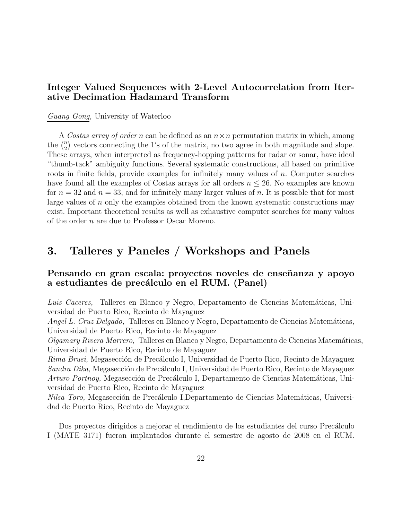## Integer Valued Sequences with 2-Level Autocorrelation from Iterative Decimation Hadamard Transform

#### Guang Gong, University of Waterloo

A Costas array of order n can be defined as an  $n \times n$  permutation matrix in which, among the  $\binom{n}{2}$  $n_2$ ) vectors connecting the 1's of the matrix, no two agree in both magnitude and slope. These arrays, when interpreted as frequency-hopping patterns for radar or sonar, have ideal "thumb-tack" ambiguity functions. Several systematic constructions, all based on primitive roots in finite fields, provide examples for infinitely many values of  $n$ . Computer searches have found all the examples of Costas arrays for all orders  $n \leq 26$ . No examples are known for  $n = 32$  and  $n = 33$ , and for infinitely many larger values of n. It is possible that for most large values of n only the examples obtained from the known systematic constructions may exist. Important theoretical results as well as exhaustive computer searches for many values of the order n are due to Professor Oscar Moreno.

# 3. Talleres y Paneles / Workshops and Panels

#### Pensando en gran escala: proyectos noveles de enseñanza y apoyo a estudiantes de precálculo en el RUM. (Panel)

Luis Caceres, Talleres en Blanco y Negro, Departamento de Ciencias Matemáticas, Universidad de Puerto Rico, Recinto de Mayaguez

Angel L. Cruz Delgado, Talleres en Blanco y Negro, Departamento de Ciencias Matemáticas, Universidad de Puerto Rico, Recinto de Mayaguez

 $Olgamary Rivera Marrero$ , Talleres en Blanco y Negro, Departamento de Ciencias Matemáticas, Universidad de Puerto Rico, Recinto de Mayaguez

Rima Brusi, Megasección de Precálculo I, Universidad de Puerto Rico, Recinto de Mayaguez Sandra Dika, Megasección de Precálculo I, Universidad de Puerto Rico, Recinto de Mayaguez Arturo Portnoy, Megasección de Precálculo I, Departamento de Ciencias Matemáticas, Universidad de Puerto Rico, Recinto de Mayaguez

Nilsa Toro, Megasección de Precálculo I,Departamento de Ciencias Matemáticas, Universidad de Puerto Rico, Recinto de Mayaguez

Dos proyectos dirigidos a mejorar el rendimiento de los estudiantes del curso Precálculo I (MATE 3171) fueron implantados durante el semestre de agosto de 2008 en el RUM.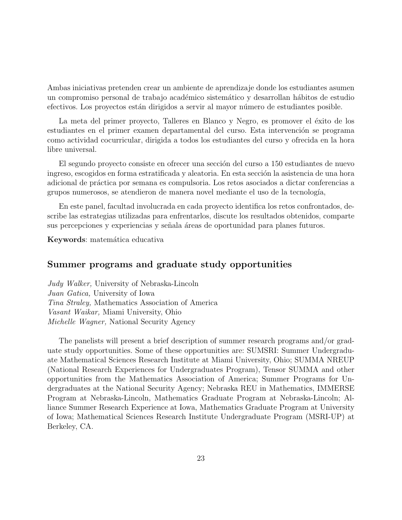Ambas iniciativas pretenden crear un ambiente de aprendizaje donde los estudiantes asumen un compromiso personal de trabajo académico sistemático y desarrollan hábitos de estudio efectivos. Los proyectos están dirigidos a servir al mayor número de estudiantes posible.

La meta del primer proyecto, Talleres en Blanco y Negro, es promover el éxito de los estudiantes en el primer examen departamental del curso. Esta intervención se programa como actividad cocurricular, dirigida a todos los estudiantes del curso y ofrecida en la hora libre universal.

El segundo proyecto consiste en ofrecer una sección del curso a 150 estudiantes de nuevo ingreso, escogidos en forma estratificada y aleatoria. En esta sección la asistencia de una hora adicional de práctica por semana es compulsoria. Los retos asociados a dictar conferencias a grupos numerosos, se atendieron de manera novel mediante el uso de la tecnolog´ıa,

En este panel, facultad involucrada en cada proyecto identifica los retos confrontados, describe las estrategias utilizadas para enfrentarlos, discute los resultados obtenidos, comparte sus percepciones y experiencias y señala áreas de oportunidad para planes futuros.

Keywords: matemática educativa

#### Summer programs and graduate study opportunities

Judy Walker, University of Nebraska-Lincoln Juan Gatica, University of Iowa Tina Straley, Mathematics Association of America Vasant Waikar, Miami University, Ohio Michelle Wagner, National Security Agency

The panelists will present a brief description of summer research programs and/or graduate study opportunities. Some of these opportunities are: SUMSRI: Summer Undergraduate Mathematical Sciences Research Institute at Miami University, Ohio; SUMMA NREUP (National Research Experiences for Undergraduates Program), Tensor SUMMA and other opportunities from the Mathematics Association of America; Summer Programs for Undergraduates at the National Security Agency; Nebraska REU in Mathematics, IMMERSE Program at Nebraska-Lincoln, Mathematics Graduate Program at Nebraska-Lincoln; Alliance Summer Research Experience at Iowa, Mathematics Graduate Program at University of Iowa; Mathematical Sciences Research Institute Undergraduate Program (MSRI-UP) at Berkeley, CA.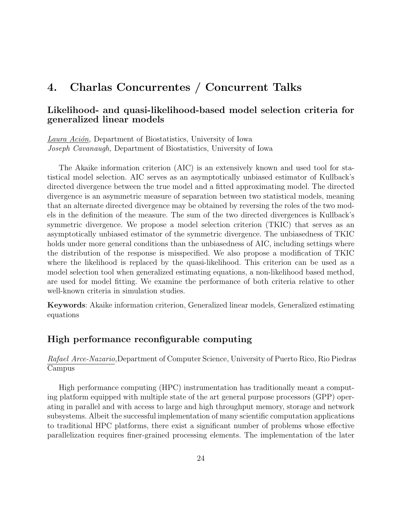# 4. Charlas Concurrentes / Concurrent Talks

#### Likelihood- and quasi-likelihood-based model selection criteria for generalized linear models

Laura Ación, Department of Biostatistics, University of Iowa Joseph Cavanaugh, Department of Biostatistics, University of Iowa

The Akaike information criterion (AIC) is an extensively known and used tool for statistical model selection. AIC serves as an asymptotically unbiased estimator of Kullback's directed divergence between the true model and a fitted approximating model. The directed divergence is an asymmetric measure of separation between two statistical models, meaning that an alternate directed divergence may be obtained by reversing the roles of the two models in the definition of the measure. The sum of the two directed divergences is Kullback's symmetric divergence. We propose a model selection criterion (TKIC) that serves as an asymptotically unbiased estimator of the symmetric divergence. The unbiasedness of TKIC holds under more general conditions than the unbiasedness of AIC, including settings where the distribution of the response is misspecified. We also propose a modification of TKIC where the likelihood is replaced by the quasi-likelihood. This criterion can be used as a model selection tool when generalized estimating equations, a non-likelihood based method, are used for model fitting. We examine the performance of both criteria relative to other well-known criteria in simulation studies.

Keywords: Akaike information criterion, Generalized linear models, Generalized estimating equations

### High performance reconfigurable computing

Rafael Arce-Nazario,Department of Computer Science, University of Puerto Rico, Rio Piedras Campus

High performance computing (HPC) instrumentation has traditionally meant a computing platform equipped with multiple state of the art general purpose processors (GPP) operating in parallel and with access to large and high throughput memory, storage and network subsystems. Albeit the successful implementation of many scientific computation applications to traditional HPC platforms, there exist a significant number of problems whose effective parallelization requires finer-grained processing elements. The implementation of the later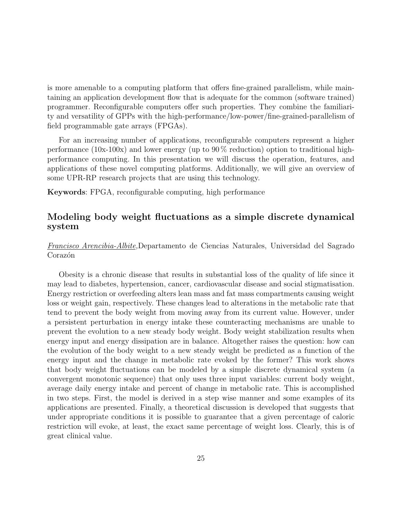is more amenable to a computing platform that offers fine-grained parallelism, while maintaining an application development flow that is adequate for the common (software trained) programmer. Reconfigurable computers offer such properties. They combine the familiarity and versatility of GPPs with the high-performance/low-power/fine-grained-parallelism of field programmable gate arrays (FPGAs).

For an increasing number of applications, reconfigurable computers represent a higher performance (10x-100x) and lower energy (up to  $90\%$  reduction) option to traditional highperformance computing. In this presentation we will discuss the operation, features, and applications of these novel computing platforms. Additionally, we will give an overview of some UPR-RP research projects that are using this technology.

Keywords: FPGA, reconfigurable computing, high performance

#### Modeling body weight fluctuations as a simple discrete dynamical system

#### Francisco Arencibia-Albite,Departamento de Ciencias Naturales, Universidad del Sagrado Corazón

Obesity is a chronic disease that results in substantial loss of the quality of life since it may lead to diabetes, hypertension, cancer, cardiovascular disease and social stigmatisation. Energy restriction or overfeeding alters lean mass and fat mass compartments causing weight loss or weight gain, respectively. These changes lead to alterations in the metabolic rate that tend to prevent the body weight from moving away from its current value. However, under a persistent perturbation in energy intake these counteracting mechanisms are unable to prevent the evolution to a new steady body weight. Body weight stabilization results when energy input and energy dissipation are in balance. Altogether raises the question: how can the evolution of the body weight to a new steady weight be predicted as a function of the energy input and the change in metabolic rate evoked by the former? This work shows that body weight fluctuations can be modeled by a simple discrete dynamical system (a convergent monotonic sequence) that only uses three input variables: current body weight, average daily energy intake and percent of change in metabolic rate. This is accomplished in two steps. First, the model is derived in a step wise manner and some examples of its applications are presented. Finally, a theoretical discussion is developed that suggests that under appropriate conditions it is possible to guarantee that a given percentage of caloric restriction will evoke, at least, the exact same percentage of weight loss. Clearly, this is of great clinical value.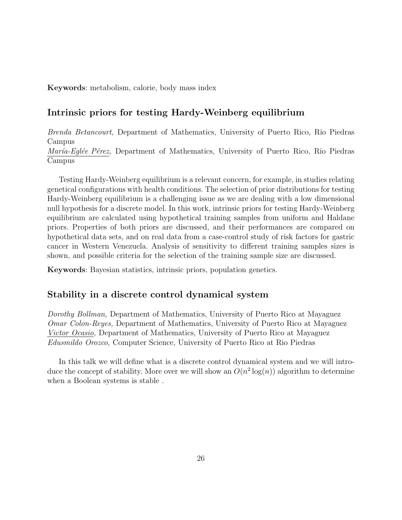Keywords: metabolism, calorie, body mass index

#### Intrinsic priors for testing Hardy-Weinberg equilibrium

Brenda Betancourt, Department of Mathematics, University of Puerto Rico, Rio Piedras Campus María-Eglée Pérez, Department of Mathematics, University of Puerto Rico, Rio Piedras Campus

Testing Hardy-Weinberg equilibrium is a relevant concern, for example, in studies relating genetical configurations with health conditions. The selection of prior distributions for testing Hardy-Weinberg equilibrium is a challenging issue as we are dealing with a low dimensional null hypothesis for a discrete model. In this work, intrinsic priors for testing Hardy-Weinberg equilibrium are calculated using hypothetical training samples from uniform and Haldane priors. Properties of both priors are discussed, and their performances are compared on hypothetical data sets, and on real data from a case-control study of risk factors for gastric cancer in Western Venezuela. Analysis of sensitivity to different training samples sizes is shown, and possible criteria for the selection of the training sample size are discussed.

Keywords: Bayesian statistics, intrinsic priors, population genetics.

#### Stability in a discrete control dynamical system

Dorothy Bollman, Department of Mathematics, University of Puerto Rico at Mayaguez Omar Colon-Reyes, Department of Mathematics, University of Puerto Rico at Mayaguez Victor Ocasio, Department of Mathematics, University of Puerto Rico at Mayaguez Edusmildo Orozco, Computer Science, University of Puerto Rico at Rio Piedras

In this talk we will define what is a discrete control dynamical system and we will introduce the concept of stability. More over we will show an  $O(n^2 \log(n))$  algorithm to determine when a Boolean systems is stable .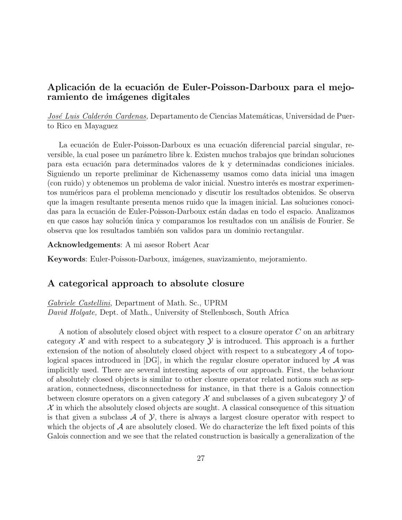# Aplicación de la ecuación de Euler-Poisson-Darboux para el mejoramiento de imágenes digitales

José Luis Calderón Cardenas, Departamento de Ciencias Matemáticas, Universidad de Puerto Rico en Mayaguez

La ecuación de Euler-Poisson-Darboux es una ecuación diferencial parcial singular, reversible, la cual posee un parámetro libre k. Existen muchos trabajos que brindan soluciones para esta ecuación para determinados valores de k y determinadas condiciones iniciales. Siguiendo un reporte preliminar de Kichenassemy usamos como data inicial una imagen (con ruido) y obtenemos un problema de valor inicial. Nuestro interés es mostrar experimentos num´ericos para el problema mencionado y discutir los resultados obtenidos. Se observa que la imagen resultante presenta menos ruido que la imagen inicial. Las soluciones conocidas para la ecuación de Euler-Poisson-Darboux están dadas en todo el espacio. Analizamos en que casos hay solución única y comparamos los resultados con un análisis de Fourier. Se observa que los resultados tambi´en son validos para un dominio rectangular.

Acknowledgements: A mi asesor Robert Acar

Keywords: Euler-Poisson-Darboux, imágenes, suavizamiento, mejoramiento.

#### A categorical approach to absolute closure

Gabriele Castellini, Department of Math. Sc., UPRM David Holgate, Dept. of Math., University of Stellenbosch, South Africa

A notion of absolutely closed object with respect to a closure operator  $C$  on an arbitrary category  $\mathcal X$  and with respect to a subcategory  $\mathcal Y$  is introduced. This approach is a further extension of the notion of absolutely closed object with respect to a subcategory  $\mathcal A$  of topological spaces introduced in  $[DG]$ , in which the regular closure operator induced by  $A$  was implicitly used. There are several interesting aspects of our approach. First, the behaviour of absolutely closed objects is similar to other closure operator related notions such as separation, connectedness, disconnectedness for instance, in that there is a Galois connection between closure operators on a given category  $\mathcal X$  and subclasses of a given subcategory  $\mathcal Y$  of  $X$  in which the absolutely closed objects are sought. A classical consequence of this situation is that given a subclass  $\mathcal A$  of  $\mathcal Y$ , there is always a largest closure operator with respect to which the objects of  $\mathcal A$  are absolutely closed. We do characterize the left fixed points of this Galois connection and we see that the related construction is basically a generalization of the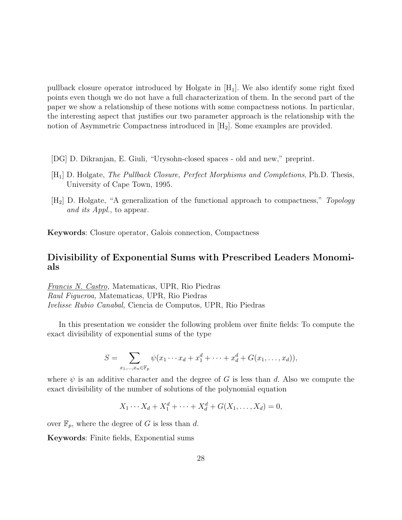pullback closure operator introduced by Holgate in  $[H_1]$ . We also identify some right fixed points even though we do not have a full characterization of them. In the second part of the paper we show a relationship of these notions with some compactness notions. In particular, the interesting aspect that justifies our two parameter approach is the relationship with the notion of Asymmetric Compactness introduced in  $[H_2]$ . Some examples are provided.

- [DG] D. Dikranjan, E. Giuli, "Urysohn-closed spaces old and new," preprint.
- [H1] D. Holgate, The Pullback Closure, Perfect Morphisms and Completions, Ph.D. Thesis, University of Cape Town, 1995.
- [H2] D. Holgate, "A generalization of the functional approach to compactness," Topology and its Appl., to appear.

Keywords: Closure operator, Galois connection, Compactness

#### Divisibility of Exponential Sums with Prescribed Leaders Monomials

Francis N. Castro, Matematicas, UPR, Rio Piedras Raul Figueroa, Matematicas, UPR, Rio Piedras Ivelisse Rubio Canabal, Ciencia de Computos, UPR, Rio Piedras

In this presentation we consider the following problem over finite fields: To compute the exact divisibility of exponential sums of the type

$$
S = \sum_{x_1, ..., x_n \in \mathbb{F}_p} \psi(x_1 \cdots x_d + x_1^d + \cdots + x_d^d + G(x_1, ..., x_d)),
$$

where  $\psi$  is an additive character and the degree of G is less than d. Also we compute the exact divisibility of the number of solutions of the polynomial equation

$$
X_1 \cdots X_d + X_1^d + \cdots + X_d^d + G(X_1, \ldots, X_d) = 0,
$$

over  $\mathbb{F}_p$ , where the degree of G is less than d.

Keywords: Finite fields, Exponential sums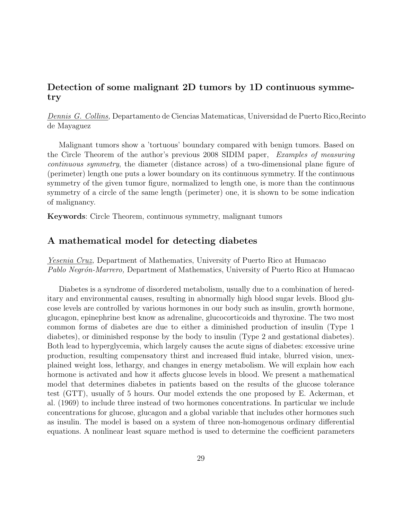# Detection of some malignant 2D tumors by 1D continuous symmetry

Dennis G. Collins, Departamento de Ciencias Matematicas, Universidad de Puerto Rico,Recinto de Mayaguez

Malignant tumors show a 'tortuous' boundary compared with benign tumors. Based on the Circle Theorem of the author's previous 2008 SIDIM paper, Examples of measuring continuous symmetry, the diameter (distance across) of a two-dimensional plane figure of (perimeter) length one puts a lower boundary on its continuous symmetry. If the continuous symmetry of the given tumor figure, normalized to length one, is more than the continuous symmetry of a circle of the same length (perimeter) one, it is shown to be some indication of malignancy.

Keywords: Circle Theorem, continuous symmetry, malignant tumors

#### A mathematical model for detecting diabetes

Yesenia Cruz, Department of Mathematics, University of Puerto Rico at Humacao Pablo Negrón-Marrero, Department of Mathematics, University of Puerto Rico at Humacao

Diabetes is a syndrome of disordered metabolism, usually due to a combination of hereditary and environmental causes, resulting in abnormally high blood sugar levels. Blood glucose levels are controlled by various hormones in our body such as insulin, growth hormone, glucagon, epinephrine best know as adrenaline, glucocorticoids and thyroxine. The two most common forms of diabetes are due to either a diminished production of insulin (Type 1 diabetes), or diminished response by the body to insulin (Type 2 and gestational diabetes). Both lead to hyperglycemia, which largely causes the acute signs of diabetes: excessive urine production, resulting compensatory thirst and increased fluid intake, blurred vision, unexplained weight loss, lethargy, and changes in energy metabolism. We will explain how each hormone is activated and how it affects glucose levels in blood. We present a mathematical model that determines diabetes in patients based on the results of the glucose tolerance test (GTT), usually of 5 hours. Our model extends the one proposed by E. Ackerman, et al. (1969) to include three instead of two hormones concentrations. In particular we include concentrations for glucose, glucagon and a global variable that includes other hormones such as insulin. The model is based on a system of three non-homogenous ordinary differential equations. A nonlinear least square method is used to determine the coefficient parameters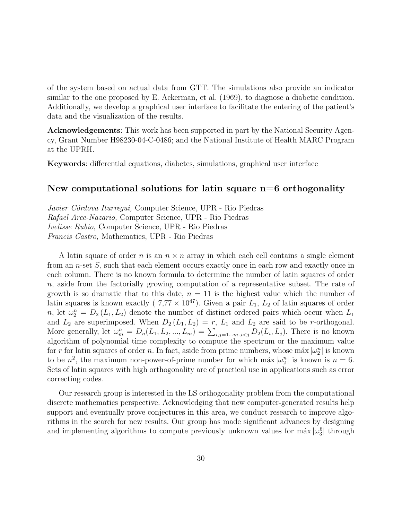of the system based on actual data from GTT. The simulations also provide an indicator similar to the one proposed by E. Ackerman, et al. (1969), to diagnose a diabetic condition. Additionally, we develop a graphical user interface to facilitate the entering of the patient's data and the visualization of the results.

Acknowledgements: This work has been supported in part by the National Security Agency, Grant Number H98230-04-C-0486; and the National Institute of Health MARC Program at the UPRH.

Keywords: differential equations, diabetes, simulations, graphical user interface

#### New computational solutions for latin square n=6 orthogonality

Javier Córdova Iturregui, Computer Science, UPR - Rio Piedras Rafael Arce-Nazario, Computer Science, UPR - Rio Piedras Ivelisse Rubio, Computer Science, UPR - Rio Piedras Francis Castro, Mathematics, UPR - Rio Piedras

A latin square of order n is an  $n \times n$  array in which each cell contains a single element from an n-set S, such that each element occurs exactly once in each row and exactly once in each column. There is no known formula to determine the number of latin squares of order n, aside from the factorially growing computation of a representative subset. The rate of growth is so dramatic that to this date,  $n = 11$  is the highest value which the number of latin squares is known exactly (  $7.77 \times 10^{47}$ ). Given a pair  $L_1$ ,  $L_2$  of latin squares of order n, let  $\omega_2^n = D_2(L_1, L_2)$  denote the number of distinct ordered pairs which occur when  $L_1$ and  $L_2$  are superimposed. When  $D_2(L_1, L_2) = r$ ,  $L_1$  and  $L_2$  are said to be r-orthogonal. More generally, let  $\omega_m^n = D_n(L_1, L_2, ..., L_m) = \sum_{i,j=1...m, i < j} D_2(L_i, L_j)$ . There is no known algorithm of polynomial time complexity to compute the spectrum or the maximum value for r for latin squares of order n. In fact, aside from prime numbers, whose máx  $|\omega_2^n|$  is known to be  $n^2$ , the maximum non-power-of-prime number for which máx  $|\omega_2^n|$  is known is  $n = 6$ . Sets of latin squares with high orthogonality are of practical use in applications such as error correcting codes.

Our research group is interested in the LS orthogonality problem from the computational discrete mathematics perspective. Acknowledging that new computer-generated results help support and eventually prove conjectures in this area, we conduct research to improve algorithms in the search for new results. Our group has made significant advances by designing and implementing algorithms to compute previously unknown values for máx  $|\omega_3^6|$  through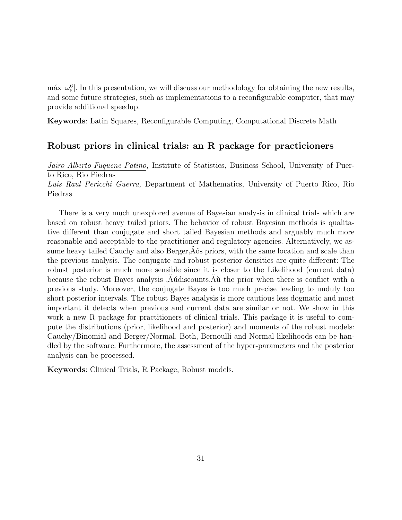$m\alpha x |\omega_5^6|$ . In this presentation, we will discuss our methodology for obtaining the new results, and some future strategies, such as implementations to a reconfigurable computer, that may provide additional speedup.

Keywords: Latin Squares, Reconfigurable Computing, Computational Discrete Math

#### Robust priors in clinical trials: an R package for practicioners

Jairo Alberto Fuquene Patino, Institute of Statistics, Business School, University of Puerto Rico, Rio Piedras

Luis Raul Pericchi Guerra, Department of Mathematics, University of Puerto Rico, Rio Piedras

There is a very much unexplored avenue of Bayesian analysis in clinical trials which are based on robust heavy tailed priors. The behavior of robust Bayesian methods is qualitative different than conjugate and short tailed Bayesian methods and arguably much more reasonable and acceptable to the practitioner and regulatory agencies. Alternatively, we assume heavy tailed Cauchy and also Berger, $\ddot{A}$ ôs priors, with the same location and scale than  $\ddot{B}$ the previous analysis. The conjugate and robust posterior densities are quite different: The robust posterior is much more sensible since it is closer to the Likelihood (current data) because the robust Bayes analysis  $\ddot{A}$ udiscounts $\ddot{A}$ u the prior when there is conflict with a non-inner the property  $\ddot{A}$ previous study. Moreover, the conjugate Bayes is too much precise leading to unduly too short posterior intervals. The robust Bayes analysis is more cautious less dogmatic and most important it detects when previous and current data are similar or not. We show in this work a new R package for practitioners of clinical trials. This package it is useful to compute the distributions (prior, likelihood and posterior) and moments of the robust models: Cauchy/Binomial and Berger/Normal. Both, Bernoulli and Normal likelihoods can be handled by the software. Furthermore, the assessment of the hyper-parameters and the posterior analysis can be processed.

Keywords: Clinical Trials, R Package, Robust models.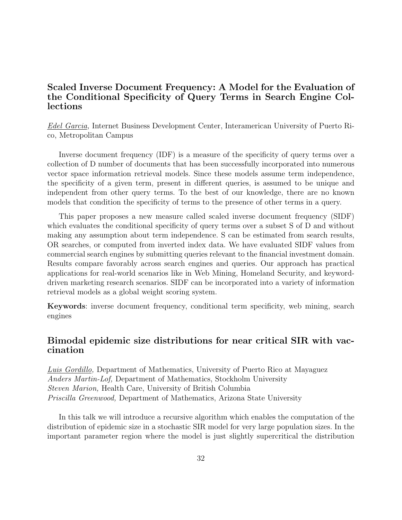# Scaled Inverse Document Frequency: A Model for the Evaluation of the Conditional Specificity of Query Terms in Search Engine Collections

Edel Garcia, Internet Business Development Center, Interamerican University of Puerto Rico, Metropolitan Campus

Inverse document frequency (IDF) is a measure of the specificity of query terms over a collection of D number of documents that has been successfully incorporated into numerous vector space information retrieval models. Since these models assume term independence, the specificity of a given term, present in different queries, is assumed to be unique and independent from other query terms. To the best of our knowledge, there are no known models that condition the specificity of terms to the presence of other terms in a query.

This paper proposes a new measure called scaled inverse document frequency (SIDF) which evaluates the conditional specificity of query terms over a subset S of D and without making any assumption about term independence. S can be estimated from search results, OR searches, or computed from inverted index data. We have evaluated SIDF values from commercial search engines by submitting queries relevant to the financial investment domain. Results compare favorably across search engines and queries. Our approach has practical applications for real-world scenarios like in Web Mining, Homeland Security, and keyworddriven marketing research scenarios. SIDF can be incorporated into a variety of information retrieval models as a global weight scoring system.

Keywords: inverse document frequency, conditional term specificity, web mining, search engines

# Bimodal epidemic size distributions for near critical SIR with vaccination

Luis Gordillo, Department of Mathematics, University of Puerto Rico at Mayaguez Anders Martin-Lof, Department of Mathematics, Stockholm University Steven Marion, Health Care, University of British Columbia Priscilla Greenwood, Department of Mathematics, Arizona State University

In this talk we will introduce a recursive algorithm which enables the computation of the distribution of epidemic size in a stochastic SIR model for very large population sizes. In the important parameter region where the model is just slightly supercritical the distribution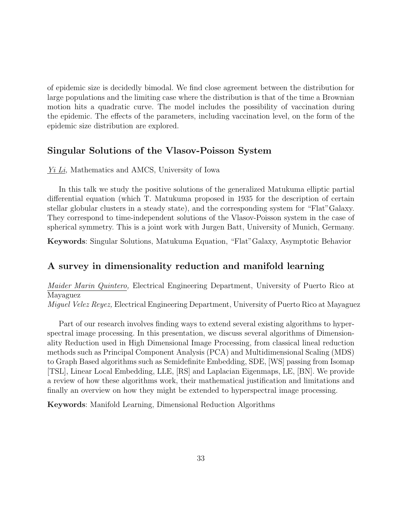of epidemic size is decidedly bimodal. We find close agreement between the distribution for large populations and the limiting case where the distribution is that of the time a Brownian motion hits a quadratic curve. The model includes the possibility of vaccination during the epidemic. The effects of the parameters, including vaccination level, on the form of the epidemic size distribution are explored.

#### Singular Solutions of the Vlasov-Poisson System

Yi Li, Mathematics and AMCS, University of Iowa

In this talk we study the positive solutions of the generalized Matukuma elliptic partial differential equation (which T. Matukuma proposed in 1935 for the description of certain stellar globular clusters in a steady state), and the corresponding system for "Flat"Galaxy. They correspond to time-independent solutions of the Vlasov-Poisson system in the case of spherical symmetry. This is a joint work with Jurgen Batt, University of Munich, Germany.

Keywords: Singular Solutions, Matukuma Equation, "Flat"Galaxy, Asymptotic Behavior

#### A survey in dimensionality reduction and manifold learning

Maider Marin Quintero, Electrical Engineering Department, University of Puerto Rico at Mayaguez

Miguel Velez Reyez, Electrical Engineering Department, University of Puerto Rico at Mayaguez

Part of our research involves finding ways to extend several existing algorithms to hyperspectral image processing. In this presentation, we discuss several algorithms of Dimensionality Reduction used in High Dimensional Image Processing, from classical lineal reduction methods such as Principal Component Analysis (PCA) and Multidimensional Scaling (MDS) to Graph Based algorithms such as Semidefinite Embedding, SDE, [WS] passing from Isomap [TSL], Linear Local Embedding, LLE, [RS] and Laplacian Eigenmaps, LE, [BN]. We provide a review of how these algorithms work, their mathematical justification and limitations and finally an overview on how they might be extended to hyperspectral image processing.

Keywords: Manifold Learning, Dimensional Reduction Algorithms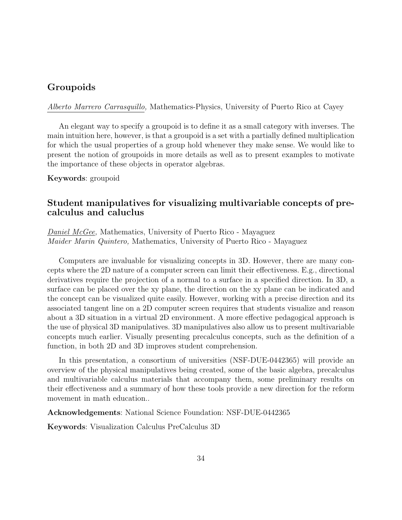#### Groupoids

Alberto Marrero Carrasquillo, Mathematics-Physics, University of Puerto Rico at Cayey

An elegant way to specify a groupoid is to define it as a small category with inverses. The main intuition here, however, is that a groupoid is a set with a partially defined multiplication for which the usual properties of a group hold whenever they make sense. We would like to present the notion of groupoids in more details as well as to present examples to motivate the importance of these objects in operator algebras.

Keywords: groupoid

# Student manipulatives for visualizing multivariable concepts of precalculus and caluclus

Daniel McGee, Mathematics, University of Puerto Rico - Mayaguez Maider Marin Quintero, Mathematics, University of Puerto Rico - Mayaguez

Computers are invaluable for visualizing concepts in 3D. However, there are many concepts where the 2D nature of a computer screen can limit their effectiveness. E.g., directional derivatives require the projection of a normal to a surface in a specified direction. In 3D, a surface can be placed over the xy plane, the direction on the xy plane can be indicated and the concept can be visualized quite easily. However, working with a precise direction and its associated tangent line on a 2D computer screen requires that students visualize and reason about a 3D situation in a virtual 2D environment. A more effective pedagogical approach is the use of physical 3D manipulatives. 3D manipulatives also allow us to present multivariable concepts much earlier. Visually presenting precalculus concepts, such as the definition of a function, in both 2D and 3D improves student comprehension.

In this presentation, a consortium of universities (NSF-DUE-0442365) will provide an overview of the physical manipulatives being created, some of the basic algebra, precalculus and multivariable calculus materials that accompany them, some preliminary results on their effectiveness and a summary of how these tools provide a new direction for the reform movement in math education..

Acknowledgements: National Science Foundation: NSF-DUE-0442365

Keywords: Visualization Calculus PreCalculus 3D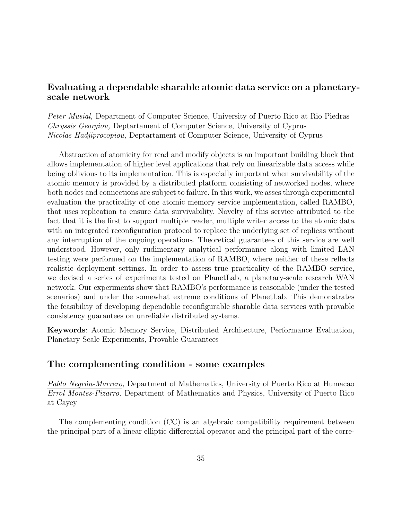### Evaluating a dependable sharable atomic data service on a planetaryscale network

Peter Musial, Department of Computer Science, University of Puerto Rico at Rio Piedras Chryssis Georgiou, Deptartament of Computer Science, University of Cyprus Nicolas Hadjiprocopiou, Deptartament of Computer Science, University of Cyprus

Abstraction of atomicity for read and modify objects is an important building block that allows implementation of higher level applications that rely on linearizable data access while being oblivious to its implementation. This is especially important when survivability of the atomic memory is provided by a distributed platform consisting of networked nodes, where both nodes and connections are subject to failure. In this work, we asses through experimental evaluation the practicality of one atomic memory service implementation, called RAMBO, that uses replication to ensure data survivability. Novelty of this service attributed to the fact that it is the first to support multiple reader, multiple writer access to the atomic data with an integrated reconfiguration protocol to replace the underlying set of replicas without any interruption of the ongoing operations. Theoretical guarantees of this service are well understood. However, only rudimentary analytical performance along with limited LAN testing were performed on the implementation of RAMBO, where neither of these reflects realistic deployment settings. In order to assess true practicality of the RAMBO service, we devised a series of experiments tested on PlanetLab, a planetary-scale research WAN network. Our experiments show that RAMBO's performance is reasonable (under the tested scenarios) and under the somewhat extreme conditions of PlanetLab. This demonstrates the feasibility of developing dependable reconfigurable sharable data services with provable consistency guarantees on unreliable distributed systems.

Keywords: Atomic Memory Service, Distributed Architecture, Performance Evaluation, Planetary Scale Experiments, Provable Guarantees

#### The complementing condition - some examples

Pablo Negrón-Marrero, Department of Mathematics, University of Puerto Rico at Humacao Errol Montes-Pizarro, Department of Mathematics and Physics, University of Puerto Rico at Cayey

The complementing condition (CC) is an algebraic compatibility requirement between the principal part of a linear elliptic differential operator and the principal part of the corre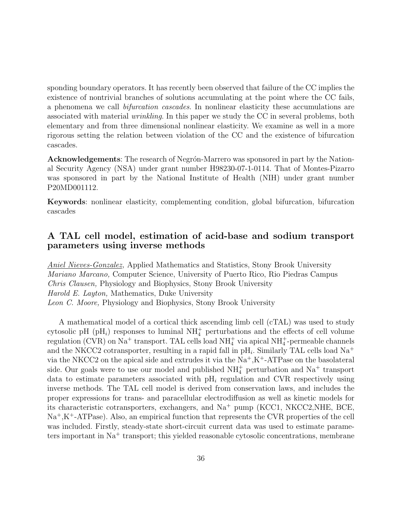sponding boundary operators. It has recently been observed that failure of the CC implies the existence of nontrivial branches of solutions accumulating at the point where the CC fails, a phenomena we call bifurcation cascades. In nonlinear elasticity these accumulations are associated with material wrinkling. In this paper we study the CC in several problems, both elementary and from three dimensional nonlinear elasticity. We examine as well in a more rigorous setting the relation between violation of the CC and the existence of bifurcation cascades.

**Acknowledgements**: The research of Negrón-Marrero was sponsored in part by the National Security Agency (NSA) under grant number H98230-07-1-0114. That of Montes-Pizarro was sponsored in part by the National Institute of Health (NIH) under grant number P20MD001112.

Keywords: nonlinear elasticity, complementing condition, global bifurcation, bifurcation cascades

#### A TAL cell model, estimation of acid-base and sodium transport parameters using inverse methods

Aniel Nieves-Gonzalez, Applied Mathematics and Statistics, Stony Brook University Mariano Marcano, Computer Science, University of Puerto Rico, Rio Piedras Campus Chris Clausen, Physiology and Biophysics, Stony Brook University Harold E. Layton, Mathematics, Duke University Leon C. Moore, Physiology and Biophysics, Stony Brook University

A mathematical model of a cortical thick ascending limb cell (cTAL) was used to study cytosolic pH (pH<sub>i</sub>) responses to luminal  $NH<sub>4</sub><sup>+</sup>$  perturbations and the effects of cell volume regulation (CVR) on Na<sup>+</sup> transport. TAL cells load NH<sup>+</sup><sub>4</sub> via apical NH<sup>+</sup><sub>4</sub>-permeable channels and the NKCC2 cotransporter, resulting in a rapid fall in  $\mathrm{pH}_{i}$ . Similarly TAL cells load Na<sup>+</sup> via the NKCC2 on the apical side and extrudes it via the  $Na^+, K^+$ -ATPase on the basolateral side. Our goals were to use our model and published  $NH<sub>4</sub><sup>+</sup>$  perturbation and  $Na<sup>+</sup>$  transport data to estimate parameters associated with  $\mathrm{pH}_{i}$  regulation and CVR respectively using inverse methods. The TAL cell model is derived from conservation laws, and includes the proper expressions for trans- and paracellular electrodiffusion as well as kinetic models for its characteristic cotransporters, exchangers, and Na<sup>+</sup> pump (KCC1, NKCC2,NHE, BCE,  $Na^+,K^+$ -ATPase). Also, an empirical function that represents the CVR properties of the cell was included. Firstly, steady-state short-circuit current data was used to estimate parameters important in  $Na<sup>+</sup>$  transport; this yielded reasonable cytosolic concentrations, membrane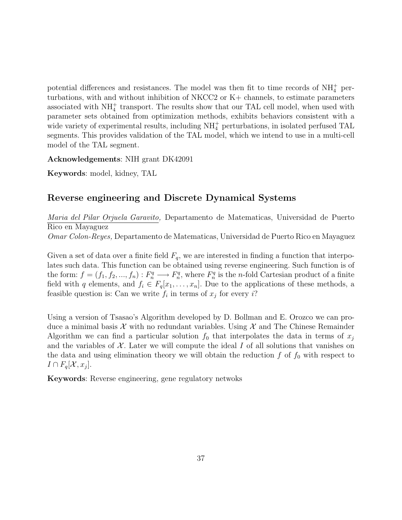potential differences and resistances. The model was then fit to time records of  $NH<sub>4</sub><sup>+</sup>$  perturbations, with and without inhibition of NKCC2 or K+ channels, to estimate parameters associated with  $NH_4^+$  transport. The results show that our TAL cell model, when used with parameter sets obtained from optimization methods, exhibits behaviors consistent with a wide variety of experimental results, including  $NH<sub>4</sub><sup>+</sup>$  perturbations, in isolated perfused TAL segments. This provides validation of the TAL model, which we intend to use in a multi-cell model of the TAL segment.

Acknowledgements: NIH grant DK42091

Keywords: model, kidney, TAL

# Reverse engineering and Discrete Dynamical Systems

Maria del Pilar Orjuela Garavito, Departamento de Matematicas, Universidad de Puerto Rico en Mayaguez

Omar Colon-Reyes, Departamento de Matematicas, Universidad de Puerto Rico en Mayaguez

Given a set of data over a finite field  $F_q$ , we are interested in finding a function that interpolates such data. This function can be obtained using reverse engineering. Such function is of the form:  $f = (f_1, f_2, ..., f_n) : F_n^q \longrightarrow F_n^q$ , where  $F_n^q$  is the *n*-fold Cartesian product of a finite field with q elements, and  $f_i \in F_q[x_1, \ldots, x_n]$ . Due to the applications of these methods, a feasible question is: Can we write  $f_i$  in terms of  $x_j$  for every i?

Using a version of Tsasao's Algorithm developed by D. Bollman and E. Orozco we can produce a minimal basis  $\mathcal X$  with no redundant variables. Using  $\mathcal X$  and The Chinese Remainder Algorithm we can find a particular solution  $f_0$  that interpolates the data in terms of  $x_j$ and the variables of  $\mathcal X$ . Later we will compute the ideal I of all solutions that vanishes on the data and using elimination theory we will obtain the reduction  $f$  of  $f_0$  with respect to  $I \cap F_q[\mathcal{X}, x_j].$ 

Keywords: Reverse engineering, gene regulatory netwoks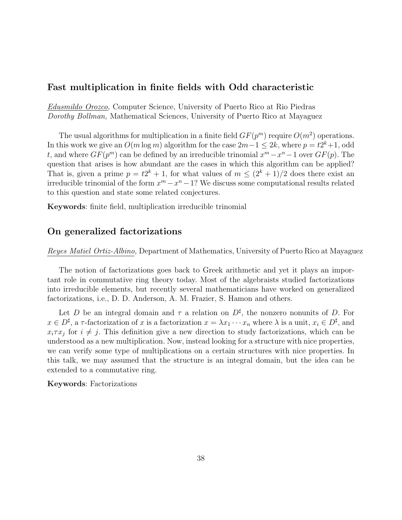#### Fast multiplication in finite fields with Odd characteristic

Edusmildo Orozco, Computer Science, University of Puerto Rico at Rio Piedras Dorothy Bollman, Mathematical Sciences, University of Puerto Rico at Mayaguez

The usual algorithms for multiplication in a finite field  $GF(p^m)$  require  $O(m^2)$  operations. In this work we give an  $O(m \log m)$  algorithm for the case  $2m-1 \leq 2k$ , where  $p = t2^k+1$ , odd t, and where  $GF(p^m)$  can be defined by an irreducible trinomial  $x^m - x^n - 1$  over  $GF(p)$ . The question that arises is how abundant are the cases in which this algorithm can be applied? That is, given a prime  $p = t2^k + 1$ , for what values of  $m \leq (2^k + 1)/2$  does there exist an irreducible trinomial of the form  $x^m - x^n - 1$ ? We discuss some computational results related to this question and state some related conjectures.

Keywords: finite field, multiplication irreducible trinomial

#### On generalized factorizations

Reyes Matiel Ortiz-Albino, Department of Mathematics, University of Puerto Rico at Mayaguez

The notion of factorizations goes back to Greek arithmetic and yet it plays an important role in commutative ring theory today. Most of the algebraists studied factorizations into irreducible elements, but recently several mathematicians have worked on generalized factorizations, i.e., D. D. Anderson, A. M. Frazier, S. Hamon and others.

Let D be an integral domain and  $\tau$  a relation on  $D^{\sharp}$ , the nonzero nonunits of D. For  $x \in D^{\sharp}$ , a  $\tau$ -factorization of x is a factorization  $x = \lambda x_1 \cdots x_n$  where  $\lambda$  is a unit,  $x_i \in D^{\sharp}$ , and  $x_i \tau x_j$  for  $i \neq j$ . This definition give a new direction to study factorizations, which can be understood as a new multiplication. Now, instead looking for a structure with nice properties, we can verify some type of multiplications on a certain structures with nice properties. In this talk, we may assumed that the structure is an integral domain, but the idea can be extended to a commutative ring.

Keywords: Factorizations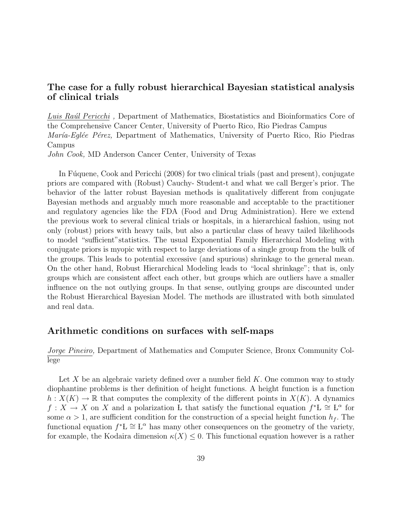## The case for a fully robust hierarchical Bayesian statistical analysis of clinical trials

Luis Raúl Pericchi, Department of Mathematics, Biostatistics and Bioinformatics Core of the Comprehensive Cancer Center, University of Puerto Rico, Rio Piedras Campus *María-Eglée Pérez*, Department of Mathematics, University of Puerto Rico, Rio Piedras Campus John Cook, MD Anderson Cancer Center, University of Texas

In Fúquene, Cook and Pericchi (2008) for two clinical trials (past and present), conjugate priors are compared with (Robust) Cauchy- Student-t and what we call Berger's prior. The behavior of the latter robust Bayesian methods is qualitatively different from conjugate Bayesian methods and arguably much more reasonable and acceptable to the practitioner and regulatory agencies like the FDA (Food and Drug Administration). Here we extend the previous work to several clinical trials or hospitals, in a hierarchical fashion, using not only (robust) priors with heavy tails, but also a particular class of heavy tailed likelihoods to model "sufficient"statistics. The usual Exponential Family Hierarchical Modeling with conjugate priors is myopic with respect to large deviations of a single group from the bulk of the groups. This leads to potential excessive (and spurious) shrinkage to the general mean. On the other hand, Robust Hierarchical Modeling leads to "local shrinkage"; that is, only groups which are consistent affect each other, but groups which are outliers have a smaller influence on the not outlying groups. In that sense, outlying groups are discounted under the Robust Hierarchical Bayesian Model. The methods are illustrated with both simulated and real data.

#### Arithmetic conditions on surfaces with self-maps

Jorge Pineiro, Department of Mathematics and Computer Science, Bronx Community College

Let X be an algebraic variety defined over a number field  $K$ . One common way to study diophantine problems is ther definition of height functions. A height function is a function  $h: X(K) \to \mathbb{R}$  that computes the complexity of the different points in  $X(K)$ . A dynamics  $f: X \to X$  on X and a polarization L that satisfy the functional equation  $f^*L \cong L^{\alpha}$  for some  $\alpha > 1$ , are sufficient condition for the construction of a special height function  $h_f$ . The functional equation  $f^*L \cong L^{\alpha}$  has many other consequences on the geometry of the variety, for example, the Kodaira dimension  $\kappa(X) \leq 0$ . This functional equation however is a rather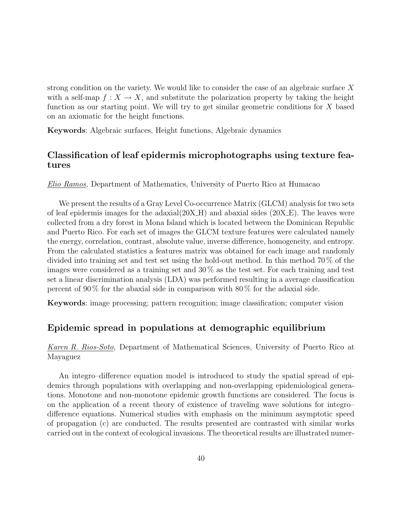strong condition on the variety. We would like to consider the case of an algebraic surface X with a self-map  $f: X \to X$ , and substitute the polarization property by taking the height function as our starting point. We will try to get similar geometric conditions for X based on an axiomatic for the height functions.

Keywords: Algebraic surfaces, Height functions, Algebraic dynamics

# Classification of leaf epidermis microphotographs using texture features

Elio Ramos, Department of Mathematics, University of Puerto Rico at Humacao

We present the results of a Gray Level Co-occurrence Matrix (GLCM) analysis for two sets of leaf epidermis images for the adaxial $(20X-H)$  and abaxial sides  $(20X-E)$ . The leaves were collected from a dry forest in Mona Island which is located between the Dominican Republic and Puerto Rico. For each set of images the GLCM texture features were calculated namely the energy, correlation, contrast, absolute value, inverse difference, homogeneity, and entropy. From the calculated statistics a features matrix was obtained for each image and randomly divided into training set and test set using the hold-out method. In this method 70 % of the images were considered as a training set and 30 % as the test set. For each training and test set a linear discrimination analysis (LDA) was performed resulting in a average classification percent of  $90\%$  for the abaxial side in comparison with  $80\%$  for the adaxial side.

Keywords: image processing; pattern recognition; image classification; computer vision

#### Epidemic spread in populations at demographic equilibrium

Karen R. Rios-Soto, Department of Mathematical Sciences, University of Puerto Rico at Mayaguez

An integro–difference equation model is introduced to study the spatial spread of epidemics through populations with overlapping and non-overlapping epidemiological generations. Monotone and non-monotone epidemic growth functions are considered. The focus is on the application of a recent theory of existence of traveling wave solutions for integro– difference equations. Numerical studies with emphasis on the minimum asymptotic speed of propagation (c) are conducted. The results presented are contrasted with similar works carried out in the context of ecological invasions. The theoretical results are illustrated numer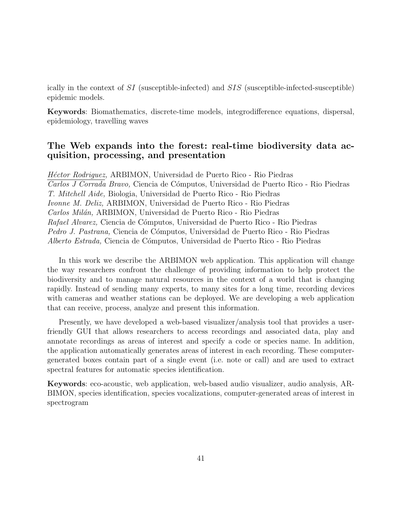ically in the context of SI (susceptible-infected) and SIS (susceptible-infected-susceptible) epidemic models.

Keywords: Biomathematics, discrete-time models, integrodifference equations, dispersal, epidemiology, travelling waves

#### The Web expands into the forest: real-time biodiversity data acquisition, processing, and presentation

Héctor Rodriguez, ARBIMON, Universidad de Puerto Rico - Rio Piedras Carlos J Corrada Bravo, Ciencia de Cómputos, Universidad de Puerto Rico - Rio Piedras T. Mitchell Aide, Biologia, Universidad de Puerto Rico - Rio Piedras Ivonne M. Deliz, ARBIMON, Universidad de Puerto Rico - Rio Piedras Carlos Milán, ARBIMON, Universidad de Puerto Rico - Rio Piedras Rafael Alvarez, Ciencia de Cómputos, Universidad de Puerto Rico - Rio Piedras Pedro J. Pastrana, Ciencia de Cómputos, Universidad de Puerto Rico - Rio Piedras Alberto Estrada, Ciencia de C´omputos, Universidad de Puerto Rico - Rio Piedras

In this work we describe the ARBIMON web application. This application will change the way researchers confront the challenge of providing information to help protect the biodiversity and to manage natural resources in the context of a world that is changing rapidly. Instead of sending many experts, to many sites for a long time, recording devices with cameras and weather stations can be deployed. We are developing a web application that can receive, process, analyze and present this information.

Presently, we have developed a web-based visualizer/analysis tool that provides a userfriendly GUI that allows researchers to access recordings and associated data, play and annotate recordings as areas of interest and specify a code or species name. In addition, the application automatically generates areas of interest in each recording. These computergenerated boxes contain part of a single event (i.e. note or call) and are used to extract spectral features for automatic species identification.

Keywords: eco-acoustic, web application, web-based audio visualizer, audio analysis, AR-BIMON, species identification, species vocalizations, computer-generated areas of interest in spectrogram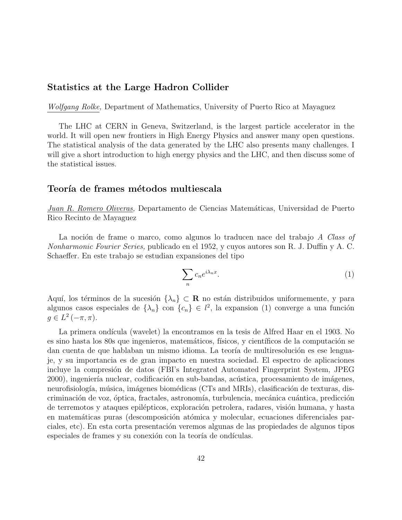#### Statistics at the Large Hadron Collider

Wolfgang Rolke, Department of Mathematics, University of Puerto Rico at Mayaguez

The LHC at CERN in Geneva, Switzerland, is the largest particle accelerator in the world. It will open new frontiers in High Energy Physics and answer many open questions. The statistical analysis of the data generated by the LHC also presents many challenges. I will give a short introduction to high energy physics and the LHC, and then discuss some of the statistical issues.

#### Teoría de frames métodos multiescala

Juan R. Romero Oliveras, Departamento de Ciencias Matemáticas, Universidad de Puerto Rico Recinto de Mayaguez

La noción de frame o marco, como algunos lo traducen nace del trabajo A Class of Nonharmonic Fourier Series, publicado en el 1952, y cuyos autores son R. J. Duffin y A. C. Schaeffer. En este trabajo se estudian expansiones del tipo

$$
\sum_{n} c_n e^{i\lambda_n x}.\tag{1}
$$

Aquí, los términos de la sucesión  $\{\lambda_n\} \subset \mathbf{R}$  no están distribuidos uniformemente, y para algunos casos especiales de  $\{\lambda_n\}$  con  $\{c_n\} \in l^2$ , la expansion (1) converge a una función  $g \in L^2(-\pi, \pi)$ .

La primera ondícula (wavelet) la encontramos en la tesis de Alfred Haar en el 1903. No es sino hasta los 80s que ingenieros, matemáticos, físicos, y científicos de la computación se dan cuenta de que hablaban un mismo idioma. La teoría de multiresolución es ese lenguaje, y su importancia es de gran impacto en nuestra sociedad. El espectro de aplicaciones incluye la compresión de datos (FBI's Integrated Automated Fingerprint System, JPEG 2000), ingeniería nuclear, codificación en sub-bandas, acústica, procesamiento de imágenes, neurofisiología, música, imágenes biomédicas (CTs and MRIs), clasificación de texturas, discriminación de voz, óptica, fractales, astronomía, turbulencia, mecánica cuántica, predicción de terremotos y ataques epilépticos, exploración petrolera, radares, visión humana, y hasta en matemáticas puras (descomposición atómica y molecular, ecuaciones diferenciales parciales, etc). En esta corta presentación veremos algunas de las propiedades de algunos tipos especiales de frames y su conexión con la teoría de ondículas.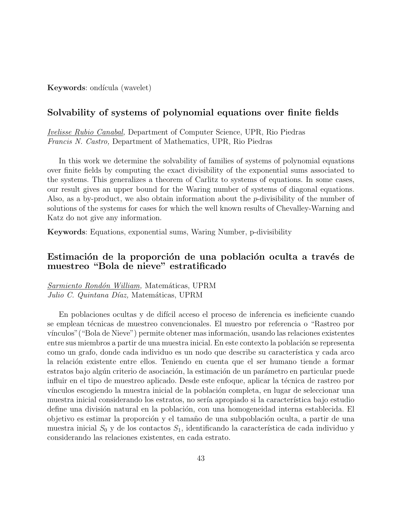Keywords: ondícula (wavelet)

#### Solvability of systems of polynomial equations over finite fields

Ivelisse Rubio Canabal, Department of Computer Science, UPR, Rio Piedras Francis N. Castro, Department of Mathematics, UPR, Rio Piedras

In this work we determine the solvability of families of systems of polynomial equations over finite fields by computing the exact divisibility of the exponential sums associated to the systems. This generalizes a theorem of Carlitz to systems of equations. In some cases, our result gives an upper bound for the Waring number of systems of diagonal equations. Also, as a by-product, we also obtain information about the p-divisibility of the number of solutions of the systems for cases for which the well known results of Chevalley-Warning and Katz do not give any information.

Keywords: Equations, exponential sums, Waring Number, p-divisibility

#### Estimación de la proporción de una población oculta a través de muestreo "Bola de nieve" estratificado

Sarmiento Rondón William, Matemáticas, UPRM Julio C. Quintana Díaz, Matemáticas, UPRM

En poblaciones ocultas y de difícil acceso el proceso de inferencia es ineficiente cuando se emplean técnicas de muestreo convencionales. El muestro por referencia o "Rastreo por vínculos" ("Bola de Nieve") permite obtener mas información, usando las relaciones existentes entre sus miembros a partir de una muestra inicial. En este contexto la población se representa como un grafo, donde cada individuo es un nodo que describe su característica y cada arco la relación existente entre ellos. Teniendo en cuenta que el ser humano tiende a formar estratos bajo algún criterio de asociación, la estimación de un parámetro en particular puede influir en el tipo de muestreo aplicado. Desde este enfoque, aplicar la técnica de rastreo por vínculos escogiendo la muestra inicial de la población completa, en lugar de seleccionar una muestra inicial considerando los estratos, no sería apropiado si la característica bajo estudio define una división natural en la población, con una homogeneidad interna establecida. El objetivo es estimar la proporción y el tamaño de una subpoblación oculta, a partir de una muestra inicial  $S_0$  y de los contactos  $S_1$ , identificando la característica de cada individuo y considerando las relaciones existentes, en cada estrato.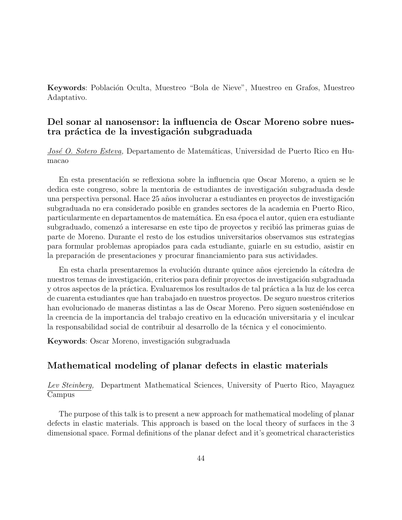Keywords: Población Oculta, Muestreo "Bola de Nieve", Muestreo en Grafos, Muestreo Adaptativo.

#### Del sonar al nanosensor: la influencia de Oscar Moreno sobre nuestra práctica de la investigación subgraduada

José O. Sotero Esteva, Departamento de Matemáticas, Universidad de Puerto Rico en Humacao

En esta presentación se reflexiona sobre la influencia que Oscar Moreno, a quien se le dedica este congreso, sobre la mentoria de estudiantes de investigación subgraduada desde una perspectiva personal. Hace 25 años involucrar a estudiantes en proyectos de investigación subgraduada no era considerado posible en grandes sectores de la academia en Puerto Rico, particularmente en departamentos de matemática. En esa época el autor, quien era estudiante subgraduado, comenzó a interesarse en este tipo de proyectos y recibió las primeras guias de parte de Moreno. Durante el resto de los estudios universitarios observamos sus estrategias para formular problemas apropiados para cada estudiante, guiarle en su estudio, asistir en la preparación de presentaciones y procurar financiamiento para sus actividades.

En esta charla presentaremos la evolución durante quince años ejerciendo la cátedra de nuestros temas de investigación, criterios para definir proyectos de investigación subgraduada y otros aspectos de la práctica. Evaluaremos los resultados de tal práctica a la luz de los cerca de cuarenta estudiantes que han trabajado en nuestros proyectos. De seguro nuestros criterios han evolucionado de maneras distintas a las de Oscar Moreno. Pero siguen sosteniéndose en la creencia de la importancia del trabajo creativo en la educación universitaria y el inculcar la responsabilidad social de contribuir al desarrollo de la técnica y el conocimiento.

Keywords: Oscar Moreno, investigación subgraduada

## Mathematical modeling of planar defects in elastic materials

Lev Steinberg, Department Mathematical Sciences, University of Puerto Rico, Mayaguez Campus

The purpose of this talk is to present a new approach for mathematical modeling of planar defects in elastic materials. This approach is based on the local theory of surfaces in the 3 dimensional space. Formal definitions of the planar defect and it's geometrical characteristics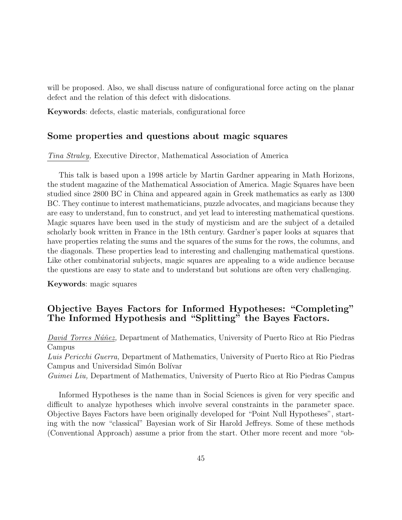will be proposed. Also, we shall discuss nature of configurational force acting on the planar defect and the relation of this defect with dislocations.

Keywords: defects, elastic materials, configurational force

#### Some properties and questions about magic squares

Tina Straley, Executive Director, Mathematical Association of America

This talk is based upon a 1998 article by Martin Gardner appearing in Math Horizons, the student magazine of the Mathematical Association of America. Magic Squares have been studied since 2800 BC in China and appeared again in Greek mathematics as early as 1300 BC. They continue to interest mathematicians, puzzle advocates, and magicians because they are easy to understand, fun to construct, and yet lead to interesting mathematical questions. Magic squares have been used in the study of mysticism and are the subject of a detailed scholarly book written in France in the 18th century. Gardner's paper looks at squares that have properties relating the sums and the squares of the sums for the rows, the columns, and the diagonals. These properties lead to interesting and challenging mathematical questions. Like other combinatorial subjects, magic squares are appealing to a wide audience because the questions are easy to state and to understand but solutions are often very challenging.

Keywords: magic squares

# Objective Bayes Factors for Informed Hypotheses: "Completing" The Informed Hypothesis and "Splitting" the Bayes Factors.

David Torres Núñez, Department of Mathematics, University of Puerto Rico at Rio Piedras Campus

Luis Pericchi Guerra, Department of Mathematics, University of Puerto Rico at Rio Piedras Campus and Universidad Simón Bolívar

Guimei Liu, Department of Mathematics, University of Puerto Rico at Rio Piedras Campus

Informed Hypotheses is the name than in Social Sciences is given for very specific and difficult to analyze hypotheses which involve several constraints in the parameter space. Objective Bayes Factors have been originally developed for "Point Null Hypotheses", starting with the now "classical" Bayesian work of Sir Harold Jeffreys. Some of these methods (Conventional Approach) assume a prior from the start. Other more recent and more "ob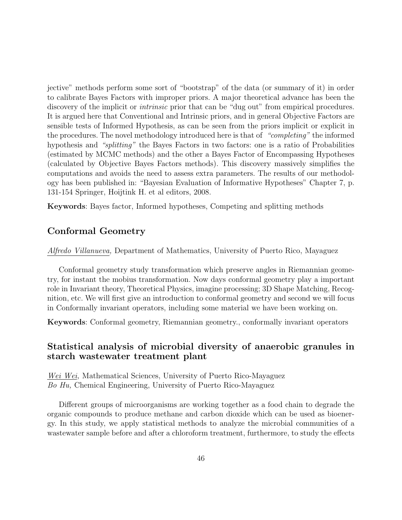jective" methods perform some sort of "bootstrap" of the data (or summary of it) in order to calibrate Bayes Factors with improper priors. A major theoretical advance has been the discovery of the implicit or *intrinsic* prior that can be "dug out" from empirical procedures. It is argued here that Conventional and Intrinsic priors, and in general Objective Factors are sensible tests of Informed Hypothesis, as can be seen from the priors implicit or explicit in the procedures. The novel methodology introduced here is that of "completing" the informed hypothesis and "splitting" the Bayes Factors in two factors: one is a ratio of Probabilities (estimated by MCMC methods) and the other a Bayes Factor of Encompassing Hypotheses (calculated by Objective Bayes Factors methods). This discovery massively simplifies the computations and avoids the need to assess extra parameters. The results of our methodology has been published in: "Bayesian Evaluation of Informative Hypotheses" Chapter 7, p. 131-154 Springer, Hoijtink H. et al editors, 2008.

Keywords: Bayes factor, Informed hypotheses, Competing and splitting methods

#### Conformal Geometry

Alfredo Villanueva, Department of Mathematics, University of Puerto Rico, Mayaguez

Conformal geometry study transformation which preserve angles in Riemannian geometry, for instant the mobius transformation. Now days conformal geometry play a important role in Invariant theory, Theoretical Physics, imagine processing; 3D Shape Matching, Recognition, etc. We will first give an introduction to conformal geometry and second we will focus in Conformally invariant operators, including some material we have been working on.

Keywords: Conformal geometry, Riemannian geometry., conformally invariant operators

## Statistical analysis of microbial diversity of anaerobic granules in starch wastewater treatment plant

Wei Wei, Mathematical Sciences, University of Puerto Rico-Mayaguez Bo Hu, Chemical Engineering, University of Puerto Rico-Mayaguez

Different groups of microorganisms are working together as a food chain to degrade the organic compounds to produce methane and carbon dioxide which can be used as bioenergy. In this study, we apply statistical methods to analyze the microbial communities of a wastewater sample before and after a chloroform treatment, furthermore, to study the effects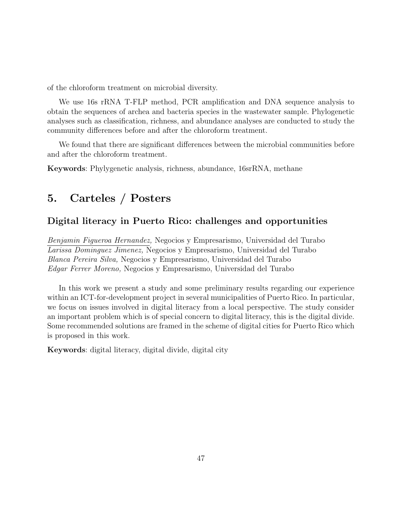of the chloroform treatment on microbial diversity.

We use 16s rRNA T-FLP method, PCR amplification and DNA sequence analysis to obtain the sequences of archea and bacteria species in the wastewater sample. Phylogenetic analyses such as classification, richness, and abundance analyses are conducted to study the community differences before and after the chloroform treatment.

We found that there are significant differences between the microbial communities before and after the chloroform treatment.

Keywords: Phylygenetic analysis, richness, abundance, 16srRNA, methane

# 5. Carteles / Posters

#### Digital literacy in Puerto Rico: challenges and opportunities

Benjamin Figueroa Hernandez, Negocios y Empresarismo, Universidad del Turabo Larissa Dominguez Jimenez, Negocios y Empresarismo, Universidad del Turabo Blanca Pereira Silva, Negocios y Empresarismo, Universidad del Turabo Edgar Ferrer Moreno, Negocios y Empresarismo, Universidad del Turabo

In this work we present a study and some preliminary results regarding our experience within an ICT-for-development project in several municipalities of Puerto Rico. In particular, we focus on issues involved in digital literacy from a local perspective. The study consider an important problem which is of special concern to digital literacy, this is the digital divide. Some recommended solutions are framed in the scheme of digital cities for Puerto Rico which is proposed in this work.

Keywords: digital literacy, digital divide, digital city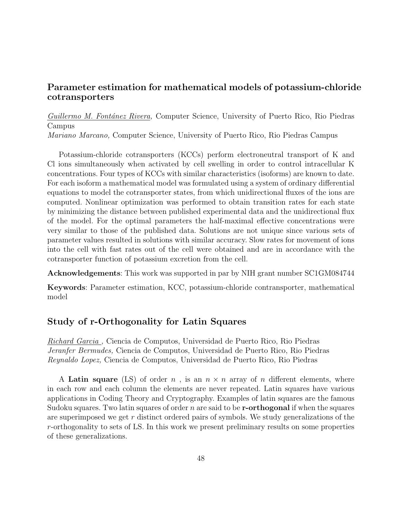# Parameter estimation for mathematical models of potassium-chloride cotransporters

Guillermo M. Fontánez Rivera, Computer Science, University of Puerto Rico, Rio Piedras Campus

Mariano Marcano, Computer Science, University of Puerto Rico, Rio Piedras Campus

Potassium-chloride cotransporters (KCCs) perform electroneutral transport of K and Cl ions simultaneously when activated by cell swelling in order to control intracellular K concentrations. Four types of KCCs with similar characteristics (isoforms) are known to date. For each isoform a mathematical model was formulated using a system of ordinary differential equations to model the cotransporter states, from which unidirectional fluxes of the ions are computed. Nonlinear optimization was performed to obtain transition rates for each state by minimizing the distance between published experimental data and the unidirectional flux of the model. For the optimal parameters the half-maximal effective concentrations were very similar to those of the published data. Solutions are not unique since various sets of parameter values resulted in solutions with similar accuracy. Slow rates for movement of ions into the cell with fast rates out of the cell were obtained and are in accordance with the cotransporter function of potassium excretion from the cell.

Acknowledgements: This work was supported in par by NIH grant number SC1GM084744

Keywords: Parameter estimation, KCC, potassium-chloride contransporter, mathematical model

#### Study of r-Orthogonality for Latin Squares

Richard Garcia , Ciencia de Computos, Universidad de Puerto Rico, Rio Piedras Jeranfer Bermudes, Ciencia de Computos, Universidad de Puerto Rico, Rio Piedras Reynaldo Lopez, Ciencia de Computos, Universidad de Puerto Rico, Rio Piedras

A Latin square (LS) of order n, is an  $n \times n$  array of n different elements, where in each row and each column the elements are never repeated. Latin squares have various applications in Coding Theory and Cryptography. Examples of latin squares are the famous Sudoku squares. Two latin squares of order n are said to be  $r$ -orthogonal if when the squares are superimposed we get r distinct ordered pairs of symbols. We study generalizations of the r-orthogonality to sets of LS. In this work we present preliminary results on some properties of these generalizations.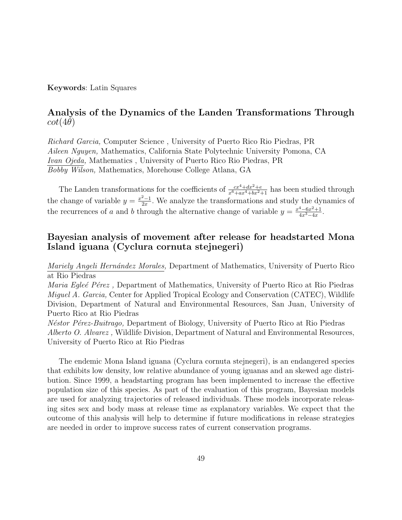#### Keywords: Latin Squares

#### Analysis of the Dynamics of the Landen Transformations Through  $cot(4\theta)$

Richard Garcia, Computer Science , University of Puerto Rico Rio Piedras, PR Aileen Nguyen, Mathematics, California State Polytechnic University Pomona, CA Ivan Ojeda, Mathematics , University of Puerto Rico Rio Piedras, PR Bobby Wilson, Mathematics, Morehouse College Atlana, GA

The Landen transformations for the coefficients of  $\frac{cx^4+dx^2+e}{x^6+ax^4+bx^2+1}$  has been studied through the change of variable  $y = \frac{x^2-1}{2x}$  $\frac{2-1}{2x}$ . We analyze the transformations and study the dynamics of the recurrences of a and b through the alternative change of variable  $y = \frac{x^4 - 6x^2 + 1}{4x^3 - 4x}$  $4x^3-4x$ .

# Bayesian analysis of movement after release for headstarted Mona Island iguana (Cyclura cornuta stejnegeri)

Mariely Angeli Hernández Morales, Department of Mathematics, University of Puerto Rico at Rio Piedras

*Maria Egleé Pérez*, Department of Mathematics, University of Puerto Rico at Rio Piedras Miguel A. Garcia, Center for Applied Tropical Ecology and Conservation (CATEC), Wildlife Division, Department of Natural and Environmental Resources, San Juan, University of Puerto Rico at Rio Piedras

*N*<sup>estor</sup> P<sup>erez</sup>-Buitrago, Department of Biology, University of Puerto Rico at Rio Piedras Alberto O. Alvarez , Wildlife Division, Department of Natural and Environmental Resources, University of Puerto Rico at Rio Piedras

The endemic Mona Island iguana (Cyclura cornuta stejnegeri), is an endangered species that exhibits low density, low relative abundance of young iguanas and an skewed age distribution. Since 1999, a headstarting program has been implemented to increase the effective population size of this species. As part of the evaluation of this program, Bayesian models are used for analyzing trajectories of released individuals. These models incorporate releasing sites sex and body mass at release time as explanatory variables. We expect that the outcome of this analysis will help to determine if future modifications in release strategies are needed in order to improve success rates of current conservation programs.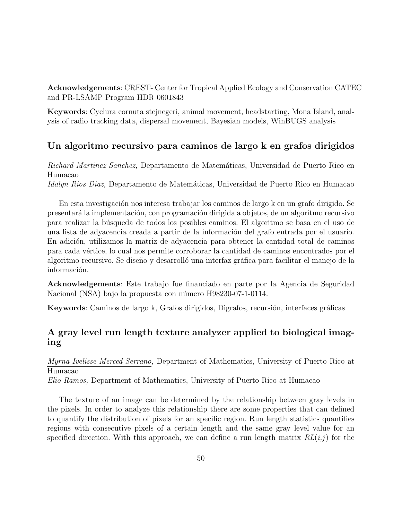Acknowledgements: CREST- Center for Tropical Applied Ecology and Conservation CATEC and PR-LSAMP Program HDR 0601843

Keywords: Cyclura cornuta stejnegeri, animal movement, headstarting, Mona Island, analysis of radio tracking data, dispersal movement, Bayesian models, WinBUGS analysis

# Un algoritmo recursivo para caminos de largo k en grafos dirigidos

Richard Martinez Sanchez, Departamento de Matemáticas, Universidad de Puerto Rico en Humacao Idalyn Rios Diaz, Departamento de Matemáticas, Universidad de Puerto Rico en Humacao

En esta investigación nos interesa trabajar los caminos de largo k en un grafo dirigido. Se presentará la implementación, con programación dirigida a objetos, de un algoritmo recursivo para realizar la b´usqueda de todos los posibles caminos. El algoritmo se basa en el uso de una lista de adyacencia creada a partir de la información del grafo entrada por el usuario. En adición, utilizamos la matriz de adyacencia para obtener la cantidad total de caminos para cada v´ertice, lo cual nos permite corroborar la cantidad de caminos encontrados por el algoritmo recursivo. Se diseño y desarrolló una interfaz gráfica para facilitar el manejo de la información.

Acknowledgements: Este trabajo fue financiado en parte por la Agencia de Seguridad Nacional (NSA) bajo la propuesta con número H98230-07-1-0114.

Keywords: Caminos de largo k, Grafos dirigidos, Digrafos, recursión, interfaces gráficas

# A gray level run length texture analyzer applied to biological imaging

Myrna Ivelisse Merced Serrano, Department of Mathematics, University of Puerto Rico at Humacao Elio Ramos, Department of Mathematics, University of Puerto Rico at Humacao

The texture of an image can be determined by the relationship between gray levels in the pixels. In order to analyze this relationship there are some properties that can defined to quantify the distribution of pixels for an specific region. Run length statistics quantifies regions with consecutive pixels of a certain length and the same gray level value for an specified direction. With this approach, we can define a run length matrix  $RL(i,j)$  for the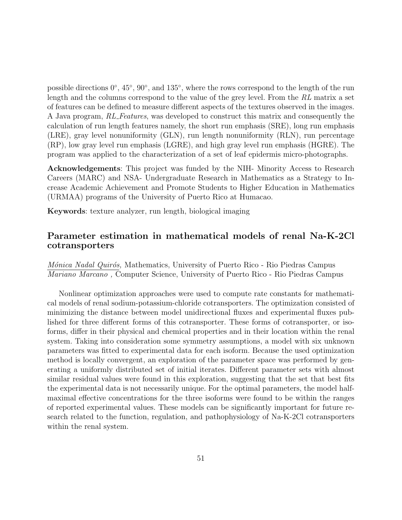possible directions 0°, 45°, 90°, and 135°, where the rows correspond to the length of the run length and the columns correspond to the value of the grey level. From the RL matrix a set of features can be defined to measure different aspects of the textures observed in the images. A Java program, RL Features, was developed to construct this matrix and consequently the calculation of run length features namely, the short run emphasis (SRE), long run emphasis (LRE), gray level nonuniformity (GLN), run length nonuniformity (RLN), run percentage (RP), low gray level run emphasis (LGRE), and high gray level run emphasis (HGRE). The program was applied to the characterization of a set of leaf epidermis micro-photographs.

Acknowledgements: This project was funded by the NIH- Minority Access to Research Careers (MARC) and NSA- Undergraduate Research in Mathematics as a Strategy to Increase Academic Achievement and Promote Students to Higher Education in Mathematics (URMAA) programs of the University of Puerto Rico at Humacao.

Keywords: texture analyzer, run length, biological imaging

#### Parameter estimation in mathematical models of renal Na-K-2Cl cotransporters

*Mónica Nadal Quirós*, Mathematics, University of Puerto Rico - Rio Piedras Campus Mariano Marcano , Computer Science, University of Puerto Rico - Rio Piedras Campus

Nonlinear optimization approaches were used to compute rate constants for mathematical models of renal sodium-potassium-chloride cotransporters. The optimization consisted of minimizing the distance between model unidirectional fluxes and experimental fluxes published for three different forms of this cotransporter. These forms of cotransporter, or isoforms, differ in their physical and chemical properties and in their location within the renal system. Taking into consideration some symmetry assumptions, a model with six unknown parameters was fitted to experimental data for each isoform. Because the used optimization method is locally convergent, an exploration of the parameter space was performed by generating a uniformly distributed set of initial iterates. Different parameter sets with almost similar residual values were found in this exploration, suggesting that the set that best fits the experimental data is not necessarily unique. For the optimal parameters, the model halfmaximal effective concentrations for the three isoforms were found to be within the ranges of reported experimental values. These models can be significantly important for future research related to the function, regulation, and pathophysiology of Na-K-2Cl cotransporters within the renal system.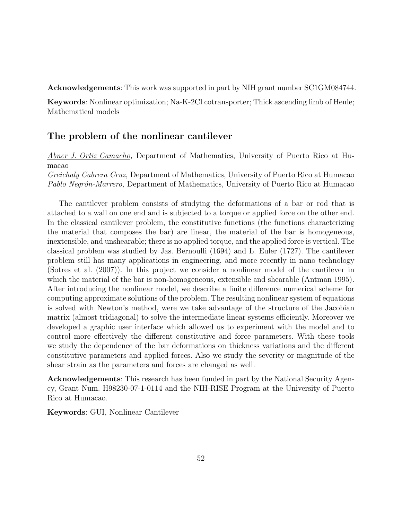Acknowledgements: This work was supported in part by NIH grant number SC1GM084744.

Keywords: Nonlinear optimization; Na-K-2Cl cotransporter; Thick ascending limb of Henle; Mathematical models

#### The problem of the nonlinear cantilever

Abner J. Ortiz Camacho, Department of Mathematics, University of Puerto Rico at Humacao

Greichaly Cabrera Cruz, Department of Mathematics, University of Puerto Rico at Humacao Pablo Negrón-Marrero, Department of Mathematics, University of Puerto Rico at Humacao

The cantilever problem consists of studying the deformations of a bar or rod that is attached to a wall on one end and is subjected to a torque or applied force on the other end. In the classical cantilever problem, the constitutive functions (the functions characterizing the material that composes the bar) are linear, the material of the bar is homogeneous, inextensible, and unshearable; there is no applied torque, and the applied force is vertical. The classical problem was studied by Jas. Bernoulli (1694) and L. Euler (1727). The cantilever problem still has many applications in engineering, and more recently in nano technology (Sotres et al. (2007)). In this project we consider a nonlinear model of the cantilever in which the material of the bar is non-homogeneous, extensible and shearable (Antman 1995). After introducing the nonlinear model, we describe a finite difference numerical scheme for computing approximate solutions of the problem. The resulting nonlinear system of equations is solved with Newton's method, were we take advantage of the structure of the Jacobian matrix (almost tridiagonal) to solve the intermediate linear systems efficiently. Moreover we developed a graphic user interface which allowed us to experiment with the model and to control more effectively the different constitutive and force parameters. With these tools we study the dependence of the bar deformations on thickness variations and the different constitutive parameters and applied forces. Also we study the severity or magnitude of the shear strain as the parameters and forces are changed as well.

Acknowledgements: This research has been funded in part by the National Security Agency, Grant Num. H98230-07-1-0114 and the NIH-RISE Program at the University of Puerto Rico at Humacao.

Keywords: GUI, Nonlinear Cantilever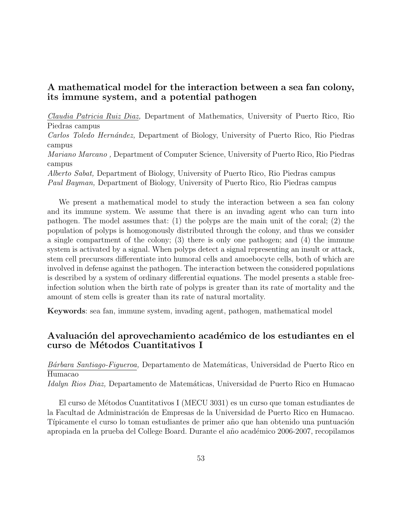# A mathematical model for the interaction between a sea fan colony, its immune system, and a potential pathogen

Claudia Patricia Ruiz Diaz, Department of Mathematics, University of Puerto Rico, Rio Piedras campus

Carlos Toledo Hernández, Department of Biology, University of Puerto Rico, Rio Piedras campus

Mariano Marcano , Department of Computer Science, University of Puerto Rico, Rio Piedras campus

Alberto Sabat, Department of Biology, University of Puerto Rico, Rio Piedras campus Paul Bayman, Department of Biology, University of Puerto Rico, Rio Piedras campus

We present a mathematical model to study the interaction between a sea fan colony and its immune system. We assume that there is an invading agent who can turn into pathogen. The model assumes that: (1) the polyps are the main unit of the coral; (2) the population of polyps is homogonously distributed through the colony, and thus we consider a single compartment of the colony; (3) there is only one pathogen; and (4) the immune system is activated by a signal. When polyps detect a signal representing an insult or attack, stem cell precursors differentiate into humoral cells and amoebocyte cells, both of which are involved in defense against the pathogen. The interaction between the considered populations is described by a system of ordinary differential equations. The model presents a stable freeinfection solution when the birth rate of polyps is greater than its rate of mortality and the amount of stem cells is greater than its rate of natural mortality.

Keywords: sea fan, immune system, invading agent, pathogen, mathematical model

#### Avaluación del aprovechamiento académico de los estudiantes en el curso de Métodos Cuantitativos I

Bárbara Santiago-Figueroa, Departamento de Matemáticas, Universidad de Puerto Rico en Humacao Idalyn Rios Diaz, Departamento de Matemáticas, Universidad de Puerto Rico en Humacao

El curso de M´etodos Cuantitativos I (MECU 3031) es un curso que toman estudiantes de la Facultad de Administración de Empresas de la Universidad de Puerto Rico en Humacao. Típicamente el curso lo toman estudiantes de primer año que han obtenido una puntuación apropiada en la prueba del College Board. Durante el año académico 2006-2007, recopilamos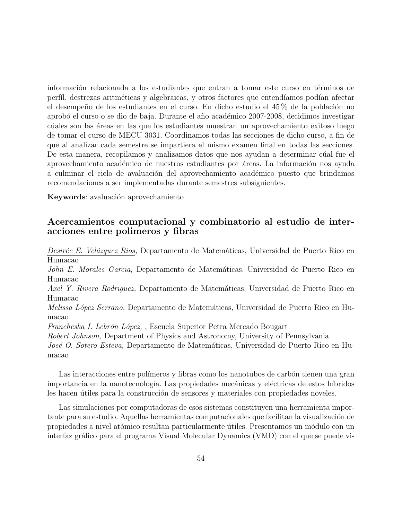información relacionada a los estudiantes que entran a tomar este curso en términos de perfíl, destrezas aritméticas y algebraicas, y otros factores que entendíamos podían afectar el desempeño de los estudiantes en el curso. En dicho estudio el 45% de la población no aprobó el curso o se dio de baja. Durante el año académico 2007-2008, decidimos investigar c´uales son las ´areas en las que los estudiantes muestran un aprovechamiento exitoso luego de tomar el curso de MECU 3031. Coordinamos todas las secciones de dicho curso, a fin de que al analizar cada semestre se impartiera el mismo examen final en todas las secciones. De esta manera, recopilamos y analizamos datos que nos ayudan a determinar cúal fue el aprovechamiento académico de nuestros estudiantes por áreas. La información nos ayuda a culminar el ciclo de avaluación del aprovechamiento académico puesto que brindamos recomendaciones a ser implementadas durante semestres subsiguientes.

Keywords: avaluación aprovechamiento

# Acercamientos computacional y combinatorio al estudio de interacciones entre polimeros y fibras

Desirée E. Velázquez Rios, Departamento de Matemáticas, Universidad de Puerto Rico en Humacao

John E. Morales Garcia, Departamento de Matemáticas, Universidad de Puerto Rico en Humacao

Axel Y. Rivera Rodriguez, Departamento de Matemáticas, Universidad de Puerto Rico en Humacao

*Melissa López Serrano*, Departamento de Matemáticas, Universidad de Puerto Rico en Humacao

Francheska I. Lebrón López, , Escuela Superior Petra Mercado Bougart

Robert Johnson, Department of Physics and Astronomy, University of Pennsylvania

José O. Sotero Esteva, Departamento de Matemáticas, Universidad de Puerto Rico en Humacao

Las interacciones entre polímeros y fibras como los nanotubos de carbón tienen una gran importancia en la nanotecnología. Las propiedades mecánicas y eléctricas de estos híbridos les hacen útiles para la construcción de sensores y materiales con propiedades noveles.

Las simulaciones por computadoras de esos sistemas constituyen una herramienta importante para su estudio. Aquellas herramientas computacionales que facilitan la visualización de propiedades a nivel atómico resultan particularmente útiles. Presentamos un módulo con un interfaz gráfico para el programa Visual Molecular Dynamics (VMD) con el que se puede vi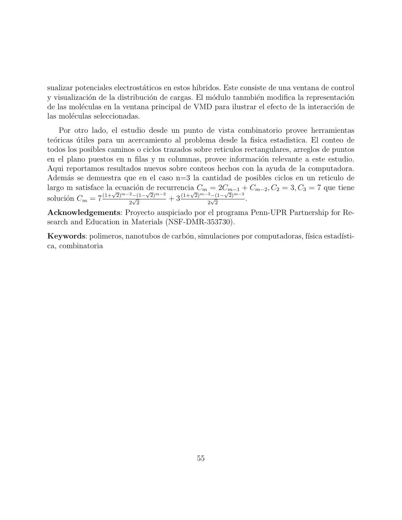sualizar potenciales electrostáticos en estos hibridos. Este consiste de una ventana de control y visualización de la distribución de cargas. El módulo tanmbién modifica la representación de las moléculas en la ventana principal de VMD para ilustrar el efecto de la interacción de las moléculas seleccionadas.

Por otro lado, el estudio desde un punto de vista combinatorio provee herramientas teóricas útiles para un acercamiento al problema desde la fisica estadistica. El conteo de todos los posibles caminos o ciclos trazados sobre reticulos rectangulares, arreglos de puntos en el plano puestos en n filas y m columnas, provee información relevante a este estudio. Aqui reportamos resultados nuevos sobre conteos hechos con la ayuda de la computadora. Adem´as se demuestra que en el caso n=3 la cantidad de posibles ciclos en un reticulo de largo m satisface la ecuación de recurrencia  $C_m = 2C_{m-1} + C_{m-2}$ ,  $C_2 = 3$ ,  $C_3 = 7$  que tiene solución  $C_m = 7\frac{(1+\sqrt{2})^{m-2}-(1-\sqrt{2})^{m-2}}{2\sqrt{2}} + 3\frac{(1+\sqrt{2})^{m-3}-(1-\sqrt{2})^{m-3}}{2\sqrt{2}}$ .  $\frac{2-(1-\sqrt{2})^{m-2}}{2\sqrt{2}}+3\frac{(1+\sqrt{2})^{m-3}-(1-\sqrt{2})^{m-3}}{2\sqrt{2}}$  $\frac{\sqrt[3]{2}-(1-\sqrt{2})^{m}}{2\sqrt{2}}$ .

Acknowledgements: Proyecto auspiciado por el programa Penn-UPR Partnership for Research and Education in Materials (NSF-DMR-353730).

Keywords: polimeros, nanotubos de carbón, simulaciones por computadoras, física estadística, combinatoria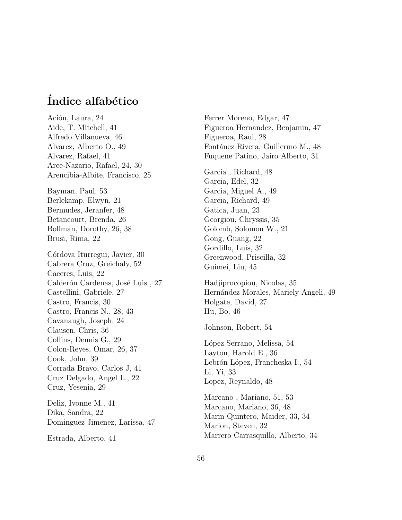# Índice alfabético

Ación, Laura, 24 Aide, T. Mitchell, 41 Alfredo Villanueva, 46 Alvarez, Alberto O., 49 Alvarez, Rafael, 41 Arce-Nazario, Rafael, 24, 30 Arencibia-Albite, Francisco, 25 Bayman, Paul, 53 Berlekamp, Elwyn, 21 Bermudes, Jeranfer, 48 Betancourt, Brenda, 26 Bollman, Dorothy, 26, 38 Brusi, Rima, 22 Córdova Iturregui, Javier, 30 Cabrera Cruz, Greichaly, 52 Caceres, Luis, 22 Calderón Cardenas, José Luis, 27 Castellini, Gabriele, 27 Castro, Francis, 30 Castro, Francis N., 28, 43 Cavanaugh, Joseph, 24 Clausen, Chris, 36 Collins, Dennis G., 29 Colon-Reyes, Omar, 26, 37 Cook, John, 39 Corrada Bravo, Carlos J, 41 Cruz Delgado, Angel L., 22 Cruz, Yesenia, 29

Deliz, Ivonne M., 41 Dika, Sandra, 22 Dominguez Jimenez, Larissa, 47

Estrada, Alberto, 41

Ferrer Moreno, Edgar, 47 Figueroa Hernandez, Benjamin, 47 Figueroa, Raul, 28 Fontánez Rivera, Guillermo M., 48 Fuquene Patino, Jairo Alberto, 31 Garcia , Richard, 48 Garcia, Edel, 32 Garcia, Miguel A., 49 Garcia, Richard, 49 Gatica, Juan, 23 Georgiou, Chryssis, 35 Golomb, Solomon W., 21 Gong, Guang, 22 Gordillo, Luis, 32 Greenwood, Priscilla, 32 Guimei, Liu, 45

Hadjiprocopiou, Nicolas, 35 Hernández Morales, Mariely Angeli, 49 Holgate, David, 27 Hu, Bo, 46

Johnson, Robert, 54

López Serrano, Melissa, 54 Layton, Harold E., 36 Lebrón López, Francheska I., 54 Li, Yi, 33 Lopez, Reynaldo, 48

Marcano , Mariano, 51, 53 Marcano, Mariano, 36, 48 Marin Quintero, Maider, 33, 34 Marion, Steven, 32 Marrero Carrasquillo, Alberto, 34